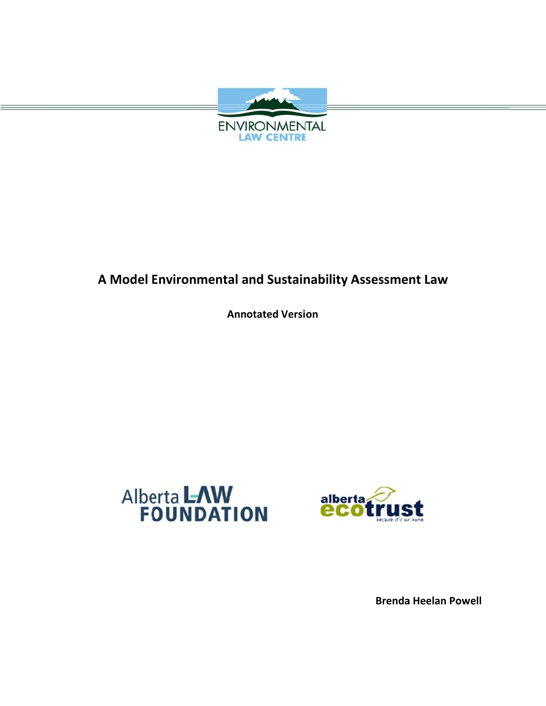

# **A** Model Environmental and Sustainability Assessment Law

**Annot tated Versi on**





**Brenda a Heelan Powell**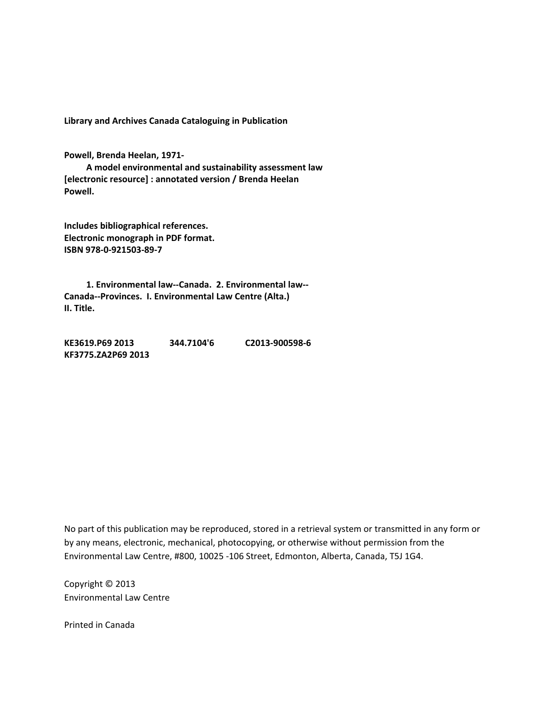**Library and Archives Canada Cataloguing in Publication**

**Powell, Brenda Heelan, 1971‐** 

 **A model environmental and sustainability assessment law [electronic resource] : annotated version / Brenda Heelan Powell.**

**Includes bibliographical references. Electronic monograph in PDF format. ISBN 978‐0‐921503‐89‐7**

 **1. Environmental law‐‐Canada. 2. Environmental law‐‐ Canada‐‐Provinces. I. Environmental Law Centre (Alta.) II. Title.**

**KE3619.P69 2013 344.7104'6 C2013‐900598‐6 KF3775.ZA2P69 2013** 

No part of this publication may be reproduced, stored in a retrieval system or transmitted in any form or by any means, electronic, mechanical, photocopying, or otherwise without permission from the Environmental Law Centre, #800, 10025 ‐106 Street, Edmonton, Alberta, Canada, T5J 1G4.

Copyright © 2013 Environmental Law Centre

Printed in Canada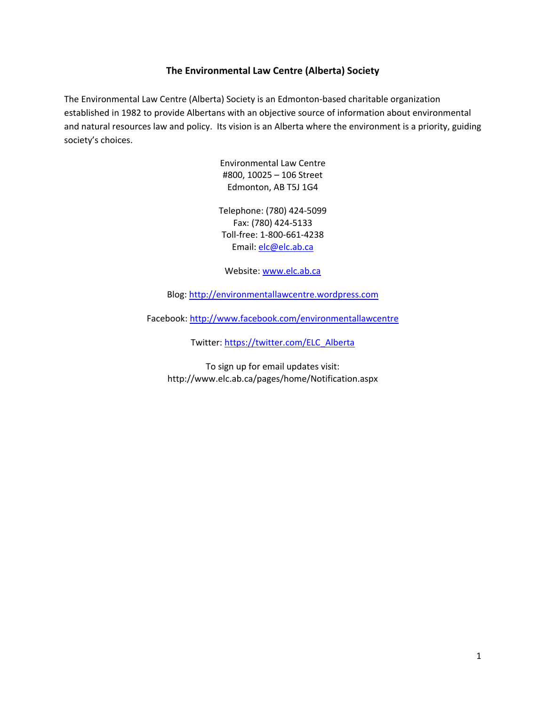## **The Environmental Law Centre (Alberta) Society**

The Environmental Law Centre (Alberta) Society is an Edmonton‐based charitable organization established in 1982 to provide Albertans with an objective source of information about environmental and natural resources law and policy. Its vision is an Alberta where the environment is a priority, guiding society's choices.

> Environmental Law Centre #800, 10025 – 106 Street Edmonton, AB T5J 1G4

Telephone: (780) 424‐5099 Fax: (780) 424‐5133 Toll‐free: 1‐800‐661‐4238 Email: [elc@elc.ab.ca](mailto:elc@elc.ab.ca)

Website: [www.elc.ab.ca](http://www.elc.ab.ca)

Blog: <http://environmentallawcentre.wordpress.com>

Facebook: <http://www.facebook.com/environmentallawcentre>

Twitter: [https://twitter.com/ELC\\_Alberta](https://twitter.com/ELC_Alberta)

To sign up for email updates visit: <http://www.elc.ab.ca/pages/home/Notification.aspx>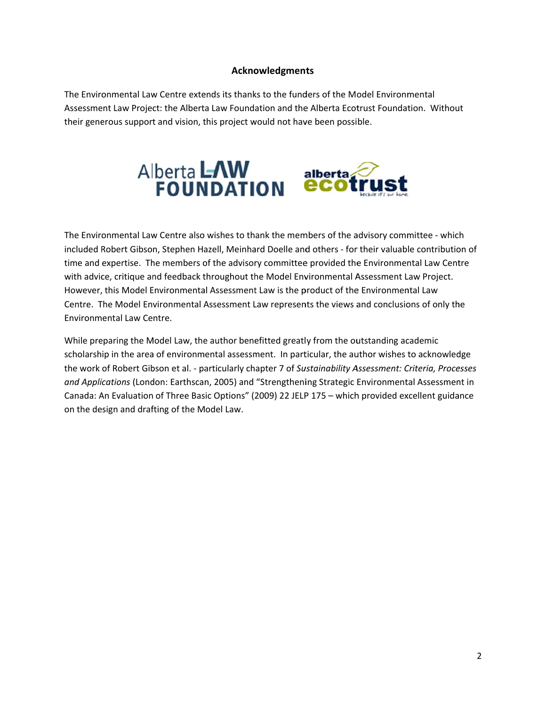## **Ackno owledgment ts**

The Environmental Law Centre extends its thanks to the funders of the Model Environmental Assessment Law Project: the Alberta Law Foundation and the Alberta Ecotrust Foundation. Without their generous support and vision, this project would not have been possible.



The Environmental Law Centre also wishes to thank the members of the advisory committee - which included Robert Gibson, Stephen Hazell, Meinhard Doelle and others - for their valuable contribution of time and expertise. The members of the advisory committee provided the Environmental Law Centre with advice, critique and feedback throughout the Model Environmental Assessment Law Project. However, this Model Environmental Assessment Law is the product of the Environmental Law Centre. The Model Environmental Assessment Law represents the views and conclusions of only the Environmental Law Centre.

While preparing the Model Law, the author benefitted greatly from the outstanding academic scholarship in the area of environmental assessment. In particular, the author wishes to acknowledge the work of Robert Gibson et al. - particularly chapter 7 of Sustainability Assessment: Criteria, Processes and Applications (London: Earthscan, 2005) and "Strengthening Strategic Environmental Assessment in Canada: An Evaluation of Three Basic Options" (2009) 22 JELP 175 - which provided excellent guidance on the design and drafting of the Model Law.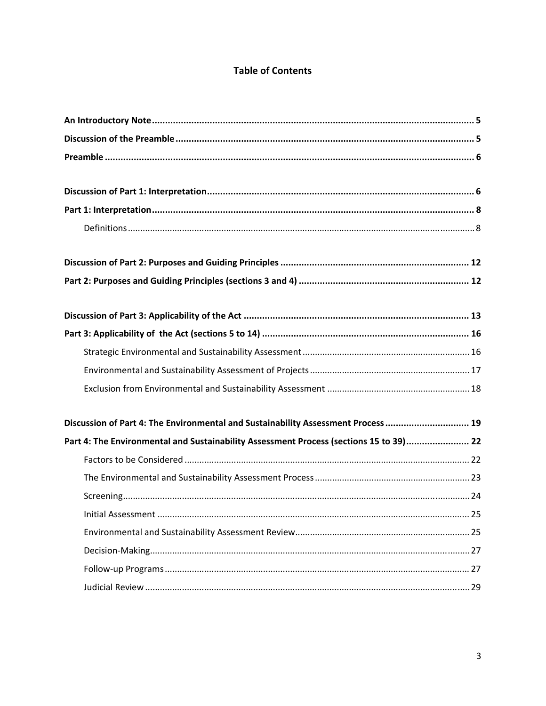## **Table of Contents**

| Discussion of Part 4: The Environmental and Sustainability Assessment Process  19      |  |
|----------------------------------------------------------------------------------------|--|
| Part 4: The Environmental and Sustainability Assessment Process (sections 15 to 39) 22 |  |
|                                                                                        |  |
|                                                                                        |  |
|                                                                                        |  |
| 25<br>Initial Assessment                                                               |  |
|                                                                                        |  |
|                                                                                        |  |
|                                                                                        |  |
|                                                                                        |  |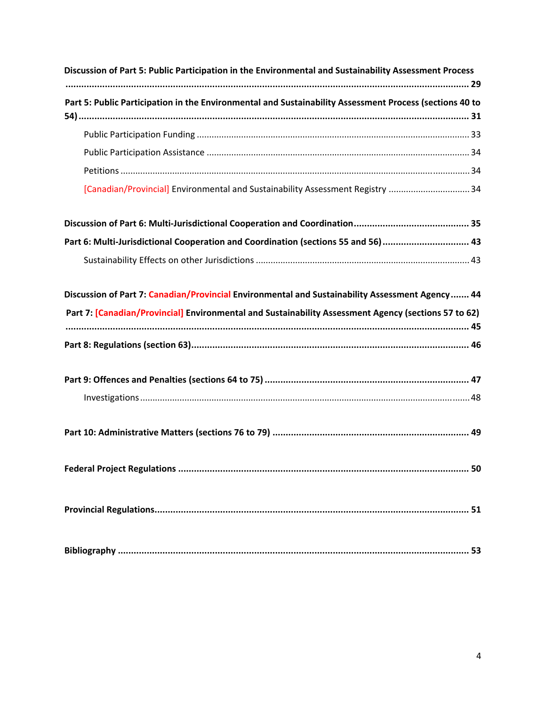| Discussion of Part 5: Public Participation in the Environmental and Sustainability Assessment Process   |
|---------------------------------------------------------------------------------------------------------|
| Part 5: Public Participation in the Environmental and Sustainability Assessment Process (sections 40 to |
|                                                                                                         |
|                                                                                                         |
|                                                                                                         |
| [Canadian/Provincial] Environmental and Sustainability Assessment Registry  34                          |
|                                                                                                         |
| Part 6: Multi-Jurisdictional Cooperation and Coordination (sections 55 and 56) 43                       |
|                                                                                                         |
| Discussion of Part 7: Canadian/Provincial Environmental and Sustainability Assessment Agency  44        |
| Part 7: [Canadian/Provincial] Environmental and Sustainability Assessment Agency (sections 57 to 62)    |
|                                                                                                         |
|                                                                                                         |
|                                                                                                         |
|                                                                                                         |
|                                                                                                         |
|                                                                                                         |
|                                                                                                         |
|                                                                                                         |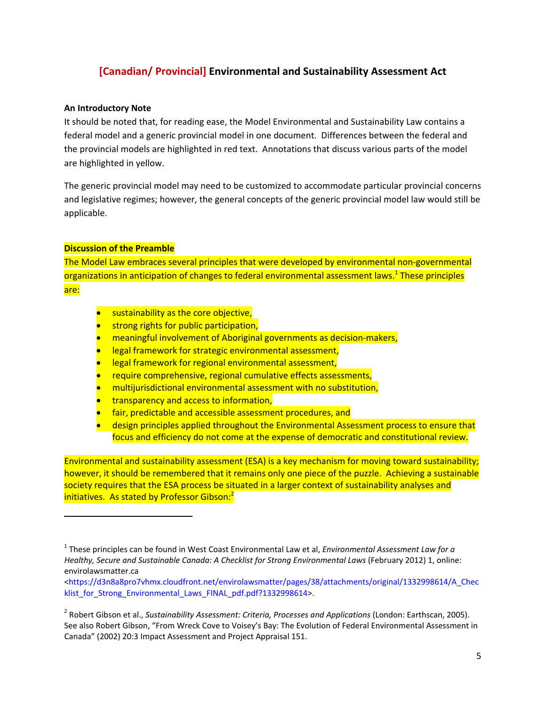## **[Canadian/ Provincial] Environmental and Sustainability Assessment Act**

#### **An Introductory Note**

It should be noted that, for reading ease, the Model Environmental and Sustainability Law contains a federal model and a generic provincial model in one document. Differences between the federal and the provincial models are highlighted in red text. Annotations that discuss various parts of the model are highlighted in yellow.

The generic provincial model may need to be customized to accommodate particular provincial concerns and legislative regimes; however, the general concepts of the generic provincial model law would still be applicable.

## **Discussion of the Preamble**

The Model Law embraces several principles that were developed by environmental non‐governmental organizations in anticipation of changes to federal environmental assessment laws.<sup>1</sup> These principles are:

- **s** sustainability as the core objective,
- strong rights for public participation,
- meaningful involvement of Aboriginal governments as decision‐makers,
- legal framework for strategic environmental assessment,
- legal framework for regional environmental assessment,
- require comprehensive, regional cumulative effects assessments,
- multijurisdictional environmental assessment with no substitution,
- transparency and access to information,
- fair, predictable and accessible assessment procedures, and
- design principles applied throughout the Environmental Assessment process to ensure that focus and efficiency do not come at the expense of democratic and constitutional review.

Environmental and sustainability assessment (ESA) is a key mechanism for moving toward sustainability; however, it should be remembered that it remains only one piece of the puzzle. Achieving a sustainable society requires that the ESA process be situated in a larger context of sustainability analyses and initiatives. As stated by Professor Gibson:<sup>2</sup>

<sup>1</sup> These principles can be found in West Coast Environmental Law et al, *Environmental Assessment Law for a Healthy, Secure and Sustainable Canada: A Checklist for Strong Environmental Laws* (February 2012) 1, online: envirolawsmatter.ca

[<sup>&</sup>lt;https://d3n8a8pro7vhmx.cloudfront.net/envirolawsmatter/pages/38/attachments/original/1332998614/A\\_Chec](https://d3n8a8pro7vhmx.cloudfront.net/envirolawsmatter/pages/38/attachments/original/1332998614/A_Checklist_for_Strong_Environmental_Laws_FINAL_pdf.pdf?1332998614) klist for Strong Environmental Laws FINAL pdf.pdf?1332998614>.

<sup>2</sup> Robert Gibson et al., *Sustainability Assessment: Criteria, Processes and Applications* (London: Earthscan, 2005). See also Robert Gibson, "From Wreck Cove to Voisey's Bay: The Evolution of Federal Environmental Assessment in Canada" (2002) 20:3 Impact Assessment and Project Appraisal 151.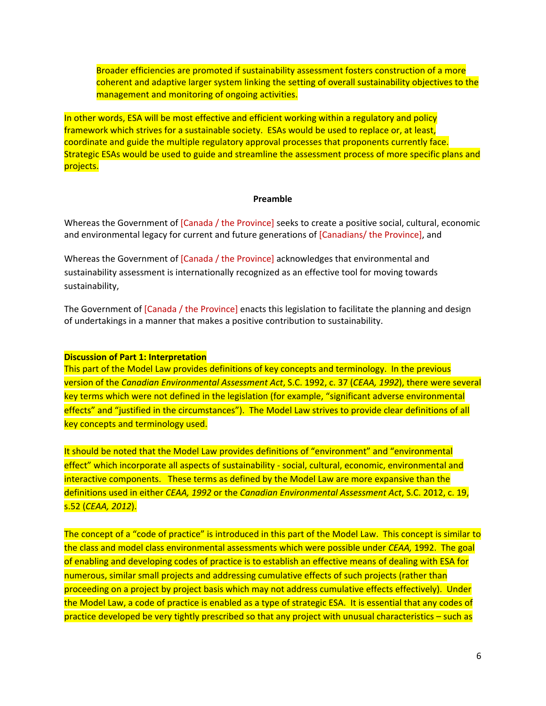Broader efficiencies are promoted if sustainability assessment fosters construction of a more coherent and adaptive larger system linking the setting of overall sustainability objectives to the management and monitoring of ongoing activities.

In other words, ESA will be most effective and efficient working within a regulatory and policy framework which strives for a sustainable society. ESAs would be used to replace or, at least, coordinate and guide the multiple regulatory approval processes that proponents currently face. Strategic ESAs would be used to guide and streamline the assessment process of more specific plans and projects.

#### **Preamble**

Whereas the Government of [Canada / the Province] seeks to create a positive social, cultural, economic and environmental legacy for current and future generations of [Canadians/ the Province], and

Whereas the Government of [Canada / the Province] acknowledges that environmental and sustainability assessment is internationally recognized as an effective tool for moving towards sustainability,

The Government of [Canada / the Province] enacts this legislation to facilitate the planning and design of undertakings in a manner that makes a positive contribution to sustainability.

#### **Discussion of Part 1: Interpretation**

This part of the Model Law provides definitions of key concepts and terminology. In the previous version of the *Canadian Environmental Assessment Act*, S.C. 1992, c. 37 (*CEAA, 1992*), there were several key terms which were not defined in the legislation (for example, "significant adverse environmental effects" and "justified in the circumstances"). The Model Law strives to provide clear definitions of all key concepts and terminology used.

It should be noted that the Model Law provides definitions of "environment" and "environmental effect" which incorporate all aspects of sustainability - social, cultural, economic, environmental and interactive components. These terms as defined by the Model Law are more expansive than the definitions used in either *CEAA, 1992* or the *Canadian Environmental Assessment Act*, S.C. 2012, c. 19, s.52 (*CEAA, 2012*).

The concept of a "code of practice" is introduced in this part of the Model Law. This concept is similar to the class and model class environmental assessments which were possible under *CEAA,* 1992. The goal of enabling and developing codes of practice is to establish an effective means of dealing with ESA for numerous, similar small projects and addressing cumulative effects of such projects (rather than proceeding on a project by project basis which may not address cumulative effects effectively). Under the Model Law, a code of practice is enabled as a type of strategic ESA. It is essential that any codes of practice developed be very tightly prescribed so that any project with unusual characteristics – such as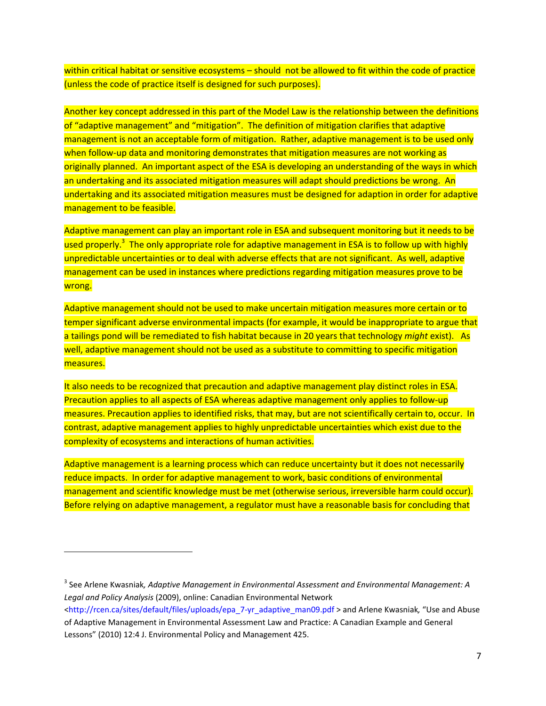within critical habitat or sensitive ecosystems – should not be allowed to fit within the code of practice (unless the code of practice itself is designed for such purposes).

Another key concept addressed in this part of the Model Law is the relationship between the definitions of "adaptive management" and "mitigation". The definition of mitigation clarifies that adaptive management is not an acceptable form of mitigation. Rather, adaptive management is to be used only when follow-up data and monitoring demonstrates that mitigation measures are not working as originally planned. An important aspect of the ESA is developing an understanding of the ways in which an undertaking and its associated mitigation measures will adapt should predictions be wrong. An undertaking and its associated mitigation measures must be designed for adaption in order for adaptive management to be feasible.

Adaptive management can play an important role in ESA and subsequent monitoring but it needs to be used properly.<sup>3</sup> The only appropriate role for adaptive management in ESA is to follow up with highly unpredictable uncertainties or to deal with adverse effects that are not significant. As well, adaptive management can be used in instances where predictions regarding mitigation measures prove to be wrong.

Adaptive management should not be used to make uncertain mitigation measures more certain or to temper significant adverse environmental impacts (for example, it would be inappropriate to argue that a tailings pond will be remediated to fish habitat because in 20 years that technology *might* exist). As well, adaptive management should not be used as a substitute to committing to specific mitigation measures.

It also needs to be recognized that precaution and adaptive management play distinct roles in ESA. Precaution applies to all aspects of ESA whereas adaptive management only applies to follow‐up measures. Precaution applies to identified risks, that may, but are not scientifically certain to, occur. In contrast, adaptive management applies to highly unpredictable uncertainties which exist due to the complexity of ecosystems and interactions of human activities.

Adaptive management is a learning process which can reduce uncertainty but it does not necessarily reduce impacts. In order for adaptive management to work, basic conditions of environmental management and scientific knowledge must be met (otherwise serious, irreversible harm could occur). Before relying on adaptive management, a regulator must have a reasonable basis for concluding that

<sup>3</sup> See Arlene Kwasniak*, Adaptive Management in Environmental Assessment and Environmental Management: A Legal and Policy Analysis* (2009), online: Canadian Environmental Network

[<sup>&</sup>lt;http://rcen.ca/sites/default/files/uploads/epa\\_7](http://rcen.ca/sites/default/files/uploads/epa_7%E2%80%90yr_adaptive_man09.pdf)-yr\_adaptive\_man09.pdf > and Arlene Kwasniak, "Use and Abuse of Adaptive Management in Environmental Assessment Law and Practice: A Canadian Example and General Lessons" (2010) 12:4 J. Environmental Policy and Management 425.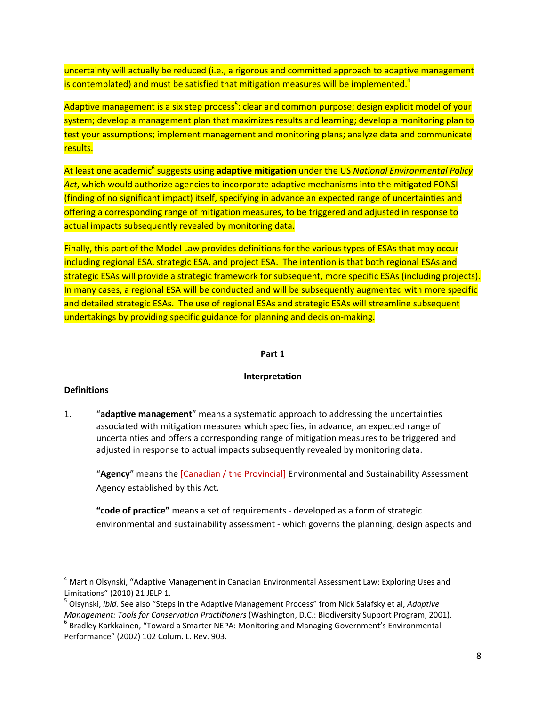uncertainty will actually be reduced (i.e., a rigorous and committed approach to adaptive management is contemplated) and must be satisfied that mitigation measures will be implemented.<sup>4</sup>

Adaptive management is a six step process<sup>5</sup>: clear and common purpose; design explicit model of your system; develop a management plan that maximizes results and learning; develop a monitoring plan to test your assumptions; implement management and monitoring plans; analyze data and communicate results.

At least one academic<sup>6</sup> suggests using **adaptive mitigation** under the US *National Environmental Policy Act*, which would authorize agencies to incorporate adaptive mechanisms into the mitigated FONSI (finding of no significant impact) itself, specifying in advance an expected range of uncertainties and offering a corresponding range of mitigation measures, to be triggered and adjusted in response to actual impacts subsequently revealed by monitoring data.

Finally, this part of the Model Law provides definitions for the various types of ESAs that may occur including regional ESA, strategic ESA, and project ESA. The intention is that both regional ESAs and strategic ESAs will provide a strategic framework for subsequent, more specific ESAs (including projects). In many cases, a regional ESA will be conducted and will be subsequently augmented with more specific and detailed strategic ESAs. The use of regional ESAs and strategic ESAs will streamline subsequent undertakings by providing specific guidance for planning and decision-making.

#### **Part 1**

#### **Interpretation**

#### **Definitions**

1. "**adaptive management**" means a systematic approach to addressing the uncertainties associated with mitigation measures which specifies, in advance, an expected range of uncertainties and offers a corresponding range of mitigation measures to be triggered and adjusted in response to actual impacts subsequently revealed by monitoring data.

"**Agency**" means the [Canadian / the Provincial] Environmental and Sustainability Assessment Agency established by this Act.

**"code of practice"** means a set of requirements ‐ developed as a form of strategic environmental and sustainability assessment ‐ which governs the planning, design aspects and

<sup>&</sup>lt;sup>4</sup> Martin Olsynski, "Adaptive Management in Canadian Environmental Assessment Law: Exploring Uses and Limitations" (2010) 21 JELP 1.<br><sup>5</sup> Olsynski, *ibid.* See also "Steps in the Adaptive Management Process" from Nick Salafsky et al, *Adaptive* 

Management: Tools for Conservation Practitioners (Washington, D.C.: Biodiversity Support Program, 2001).<br><sup>6</sup> Bradley Karkkainen, "Toward a Smarter NEPA: Monitoring and Managing Government's Environmental Performance" (2002) 102 Colum. L. Rev. 903.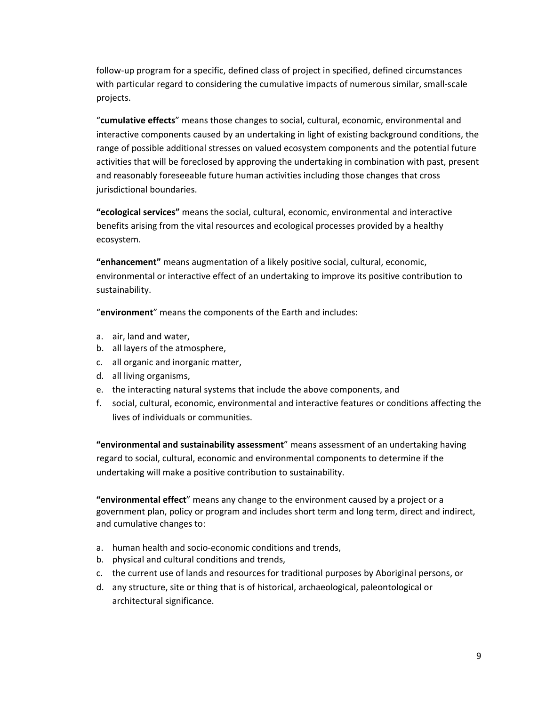follow‐up program for a specific, defined class of project in specified, defined circumstances with particular regard to considering the cumulative impacts of numerous similar, small‐scale projects.

"**cumulative effects**" means those changes to social, cultural, economic, environmental and interactive components caused by an undertaking in light of existing background conditions, the range of possible additional stresses on valued ecosystem components and the potential future activities that will be foreclosed by approving the undertaking in combination with past, present and reasonably foreseeable future human activities including those changes that cross jurisdictional boundaries.

**"ecological services"** means the social, cultural, economic, environmental and interactive benefits arising from the vital resources and ecological processes provided by a healthy ecosystem.

**"enhancement"** means augmentation of a likely positive social, cultural, economic, environmental or interactive effect of an undertaking to improve its positive contribution to sustainability.

"**environment**" means the components of the Earth and includes:

- a. air, land and water,
- b. all layers of the atmosphere,
- c. all organic and inorganic matter,
- d. all living organisms,
- e. the interacting natural systems that include the above components, and
- f. social, cultural, economic, environmental and interactive features or conditions affecting the lives of individuals or communities.

**"environmental and sustainability assessment**" means assessment of an undertaking having regard to social, cultural, economic and environmental components to determine if the undertaking will make a positive contribution to sustainability.

**"environmental effect**" means any change to the environment caused by a project or a government plan, policy or program and includes short term and long term, direct and indirect, and cumulative changes to:

- a. human health and socio‐economic conditions and trends,
- b. physical and cultural conditions and trends,
- c. the current use of lands and resources for traditional purposes by Aboriginal persons, or
- d. any structure, site or thing that is of historical, archaeological, paleontological or architectural significance.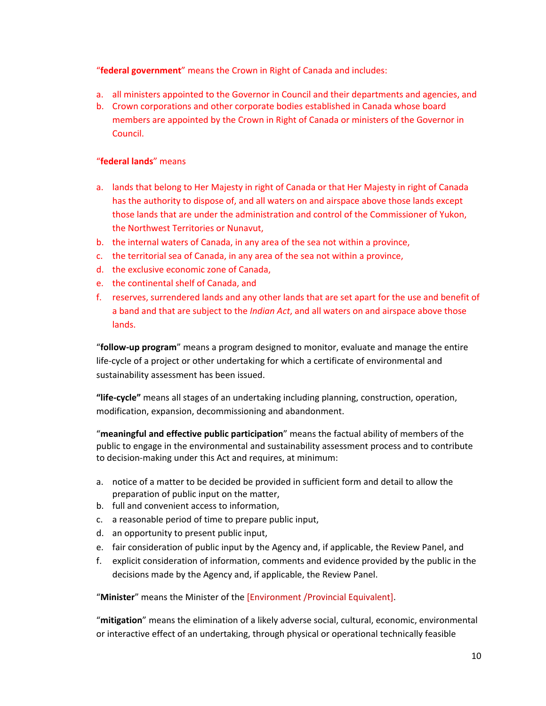"**federal government**" means the Crown in Right of Canada and includes:

- a. all ministers appointed to the Governor in Council and their departments and agencies, and
- b. Crown corporations and other corporate bodies established in Canada whose board members are appointed by the Crown in Right of Canada or ministers of the Governor in Council.

## "**federal lands**" means

- a. lands that belong to Her Majesty in right of Canada or that Her Majesty in right of Canada has the authority to dispose of, and all waters on and airspace above those lands except those lands that are under the administration and control of the Commissioner of Yukon, the Northwest Territories or Nunavut,
- b. the internal waters of Canada, in any area of the sea not within a province,
- c. the territorial sea of Canada, in any area of the sea not within a province,
- d. the exclusive economic zone of Canada,
- e. the continental shelf of Canada, and
- f. reserves, surrendered lands and any other lands that are set apart for the use and benefit of a band and that are subject to the *Indian Act*, and all waters on and airspace above those lands.

"**follow‐up program**" means a program designed to monitor, evaluate and manage the entire life‐cycle of a project or other undertaking for which a certificate of environmental and sustainability assessment has been issued.

**"life‐cycle"** means all stages of an undertaking including planning, construction, operation, modification, expansion, decommissioning and abandonment.

"**meaningful and effective public participation**" means the factual ability of members of the public to engage in the environmental and sustainability assessment process and to contribute to decision‐making under this Act and requires, at minimum:

- a. notice of a matter to be decided be provided in sufficient form and detail to allow the preparation of public input on the matter,
- b. full and convenient access to information,
- c. a reasonable period of time to prepare public input,
- d. an opportunity to present public input,
- e. fair consideration of public input by the Agency and, if applicable, the Review Panel, and
- f. explicit consideration of information, comments and evidence provided by the public in the decisions made by the Agency and, if applicable, the Review Panel.

"**Minister**" means the Minister of the [Environment /Provincial Equivalent].

"**mitigation**" means the elimination of a likely adverse social, cultural, economic, environmental or interactive effect of an undertaking, through physical or operational technically feasible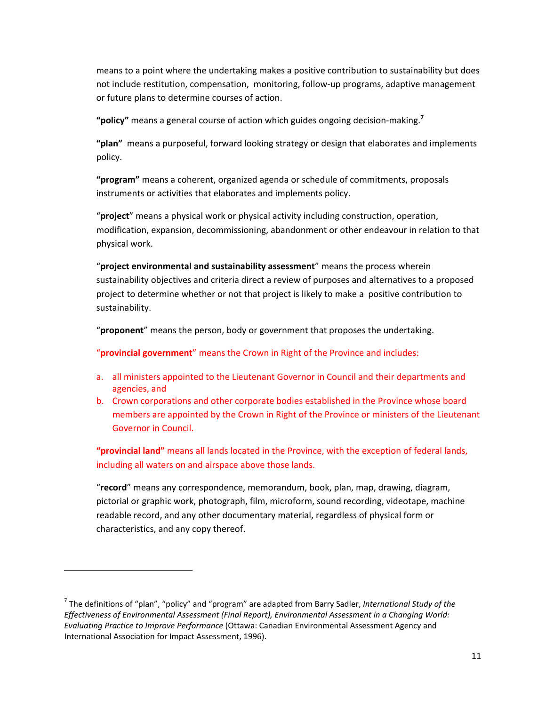means to a point where the undertaking makes a positive contribution to sustainability but does not include restitution, compensation, monitoring, follow‐up programs, adaptive management or future plans to determine courses of action.

**"policy"** means a general course of action which guides ongoing decision‐making.**<sup>7</sup>**

**"plan"** means a purposeful, forward looking strategy or design that elaborates and implements policy.

**"program"** means a coherent, organized agenda or schedule of commitments, proposals instruments or activities that elaborates and implements policy.

"**project**" means a physical work or physical activity including construction, operation, modification, expansion, decommissioning, abandonment or other endeavour in relation to that physical work.

"**project environmental and sustainability assessment**" means the process wherein sustainability objectives and criteria direct a review of purposes and alternatives to a proposed project to determine whether or not that project is likely to make a positive contribution to sustainability.

"**proponent**" means the person, body or government that proposes the undertaking.

"**provincial government**" means the Crown in Right of the Province and includes:

- a. all ministers appointed to the Lieutenant Governor in Council and their departments and agencies, and
- b. Crown corporations and other corporate bodies established in the Province whose board members are appointed by the Crown in Right of the Province or ministers of the Lieutenant Governor in Council.

**"provincial land"** means all lands located in the Province, with the exception of federal lands, including all waters on and airspace above those lands.

"**record**" means any correspondence, memorandum, book, plan, map, drawing, diagram, pictorial or graphic work, photograph, film, microform, sound recording, videotape, machine readable record, and any other documentary material, regardless of physical form or characteristics, and any copy thereof.

<sup>7</sup> The definitions of "plan", "policy" and "program" are adapted from Barry Sadler, *International Study of the Effectiveness of Environmental Assessment (Final Report), Environmental Assessment in a Changing World: Evaluating Practice to Improve Performance* (Ottawa: Canadian Environmental Assessment Agency and International Association for Impact Assessment, 1996).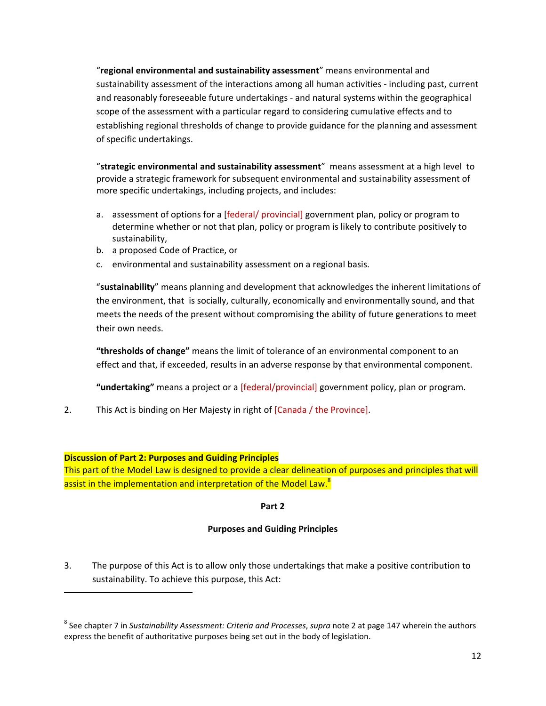"**regional environmental and sustainability assessment**" means environmental and sustainability assessment of the interactions among all human activities ‐ including past, current and reasonably foreseeable future undertakings ‐ and natural systems within the geographical scope of the assessment with a particular regard to considering cumulative effects and to establishing regional thresholds of change to provide guidance for the planning and assessment of specific undertakings.

"**strategic environmental and sustainability assessment**" means assessment at a high level to provide a strategic framework for subsequent environmental and sustainability assessment of more specific undertakings, including projects, and includes:

- a. assessment of options for a [federal/ provincial] government plan, policy or program to determine whether or not that plan, policy or program is likely to contribute positively to sustainability,
- b. a proposed Code of Practice, or
- c. environmental and sustainability assessment on a regional basis.

"**sustainability**" means planning and development that acknowledges the inherent limitations of the environment, that is socially, culturally, economically and environmentally sound, and that meets the needs of the present without compromising the ability of future generations to meet their own needs.

**"thresholds of change"** means the limit of tolerance of an environmental component to an effect and that, if exceeded, results in an adverse response by that environmental component.

**"undertaking"** means a project or a [federal/provincial] government policy, plan or program.

2. This Act is binding on Her Majesty in right of [Canada / the Province].

#### **Discussion of Part 2: Purposes and Guiding Principles**

This part of the Model Law is designed to provide a clear delineation of purposes and principles that will assist in the implementation and interpretation of the Model Law.<sup>8</sup>

#### **Part 2**

#### **Purposes and Guiding Principles**

3. The purpose of this Act is to allow only those undertakings that make a positive contribution to sustainability. To achieve this purpose, this Act:

<sup>8</sup> See chapter 7 in *Sustainability Assessment: Criteria and Processes*, *supra* note 2 at page 147 wherein the authors express the benefit of authoritative purposes being set out in the body of legislation.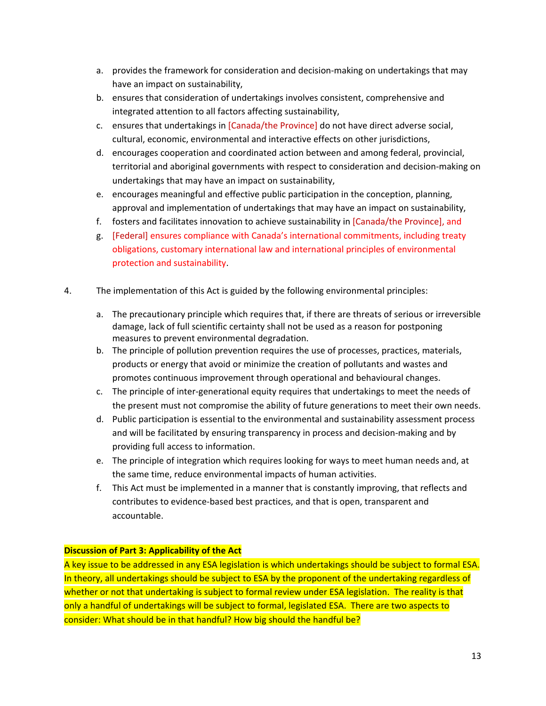- a. provides the framework for consideration and decision‐making on undertakings that may have an impact on sustainability,
- b. ensures that consideration of undertakings involves consistent, comprehensive and integrated attention to all factors affecting sustainability,
- c. ensures that undertakings in [Canada/the Province] do not have direct adverse social, cultural, economic, environmental and interactive effects on other jurisdictions,
- d. encourages cooperation and coordinated action between and among federal, provincial, territorial and aboriginal governments with respect to consideration and decision‐making on undertakings that may have an impact on sustainability,
- e. encourages meaningful and effective public participation in the conception, planning, approval and implementation of undertakings that may have an impact on sustainability,
- f. fosters and facilitates innovation to achieve sustainability in [Canada/the Province], and
- g. [Federal] ensures compliance with Canada's international commitments, including treaty obligations, customary international law and international principles of environmental protection and sustainability.
- 4. The implementation of this Act is guided by the following environmental principles:
	- a. The precautionary principle which requires that, if there are threats of serious or irreversible damage, lack of full scientific certainty shall not be used as a reason for postponing measures to prevent environmental degradation.
	- b. The principle of pollution prevention requires the use of processes, practices, materials, products or energy that avoid or minimize the creation of pollutants and wastes and promotes continuous improvement through operational and behavioural changes.
	- c. The principle of inter‐generational equity requires that undertakings to meet the needs of the present must not compromise the ability of future generations to meet their own needs.
	- d. Public participation is essential to the environmental and sustainability assessment process and will be facilitated by ensuring transparency in process and decision‐making and by providing full access to information.
	- e. The principle of integration which requires looking for ways to meet human needs and, at the same time, reduce environmental impacts of human activities.
	- f. This Act must be implemented in a manner that is constantly improving, that reflects and contributes to evidence‐based best practices, and that is open, transparent and accountable.

## **Discussion of Part 3: Applicability of the Act**

A key issue to be addressed in any ESA legislation is which undertakings should be subject to formal ESA. In theory, all undertakings should be subject to ESA by the proponent of the undertaking regardless of whether or not that undertaking is subject to formal review under ESA legislation. The reality is that only a handful of undertakings will be subject to formal, legislated ESA. There are two aspects to consider: What should be in that handful? How big should the handful be?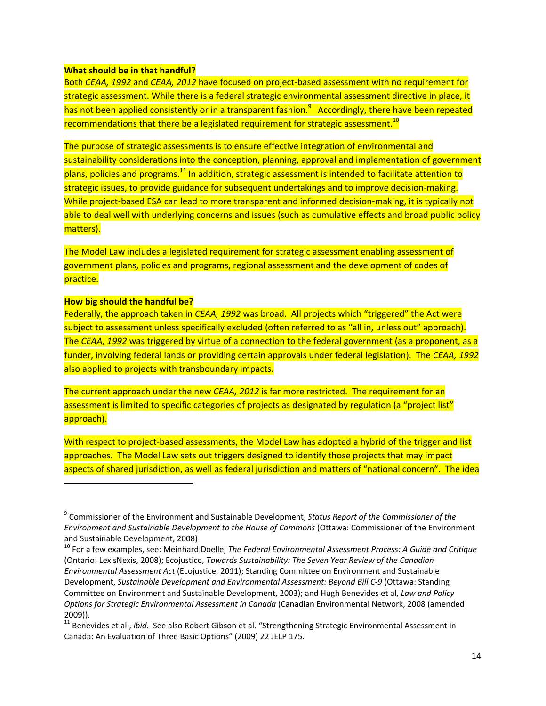#### **What should be in that handful?**

Both *CEAA, 1992* and *CEAA, 2012* have focused on project‐based assessment with no requirement for strategic assessment. While there is a federal strategic environmental assessment directive in place, it has not been applied consistently or in a transparent fashion.<sup>9</sup> Accordingly, there have been repeated recommendations that there be a legislated requirement for strategic assessment.<sup>10</sup>

The purpose of strategic assessments is to ensure effective integration of environmental and sustainability considerations into the conception, planning, approval and implementation of government plans, policies and programs.11 In addition, strategic assessment is intended to facilitate attention to strategic issues, to provide guidance for subsequent undertakings and to improve decision-making. While project-based ESA can lead to more transparent and informed decision-making, it is typically not able to deal well with underlying concerns and issues (such as cumulative effects and broad public policy matters).

The Model Law includes a legislated requirement for strategic assessment enabling assessment of government plans, policies and programs, regional assessment and the development of codes of practice.

#### **How big should the handful be?**

Federally, the approach taken in *CEAA, 1992* was broad. All projects which "triggered" the Act were subject to assessment unless specifically excluded (often referred to as "all in, unless out" approach). The *CEAA, 1992* was triggered by virtue of a connection to the federal government (as a proponent, as a funder, involving federal lands or providing certain approvals under federal legislation). The *CEAA, 1992* also applied to projects with transboundary impacts.

The current approach under the new *CEAA, 2012* is far more restricted. The requirement for an assessment is limited to specific categories of projects as designated by regulation (a "project list" approach).

With respect to project-based assessments, the Model Law has adopted a hybrid of the trigger and list approaches. The Model Law sets out triggers designed to identify those projects that may impact aspects of shared jurisdiction, as well as federal jurisdiction and matters of "national concern". The idea

<sup>9</sup> Commissioner of the Environment and Sustainable Development, *Status Report of the Commissioner of the Environment and Sustainable Development to the House of Commons* (Ottawa: Commissioner of the Environment and Sustainable Development, 2008)<br><sup>10</sup> For a few examples, see: Meinhard Doelle, *The Federal Environmental Assessment Process: A Guide and Critique* 

<sup>(</sup>Ontario: LexisNexis, 2008); Ecojustice, *Towards Sustainability: The Seven Year Review of the Canadian Environmental Assessment Act* (Ecojustice, 2011); Standing Committee on Environment and Sustainable Development, *Sustainable Development and Environmental Assessment: Beyond Bill C‐9* (Ottawa: Standing Committee on Environment and Sustainable Development, 2003); and Hugh Benevides et al, *Law and Policy Options for Strategic Environmental Assessment in Canada* (Canadian Environmental Network, 2008 (amended 2009)).

<sup>&</sup>lt;sup>11</sup> Benevides et al., *ibid.* See also Robert Gibson et al. "Strengthening Strategic Environmental Assessment in Canada: An Evaluation of Three Basic Options" (2009) 22 JELP 175.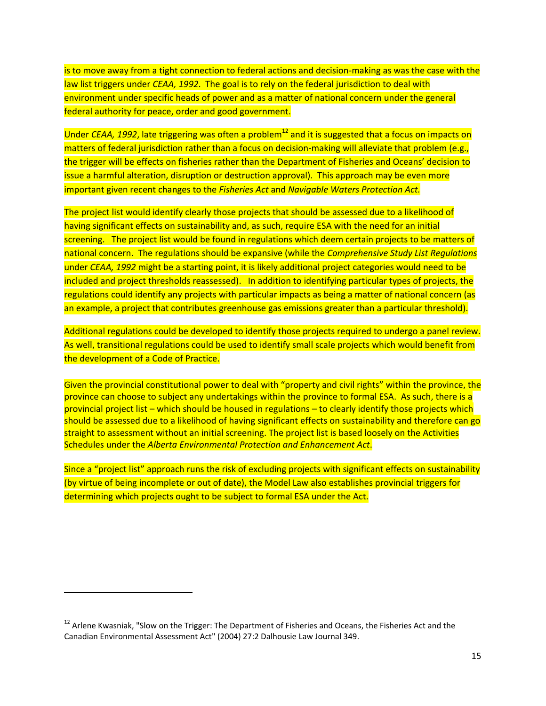is to move away from a tight connection to federal actions and decision‐making as was the case with the law list triggers under *CEAA, 1992*. The goal is to rely on the federal jurisdiction to deal with environment under specific heads of power and as a matter of national concern under the general federal authority for peace, order and good government.

Under *CEAA, 1992*, late triggering was often a problem<sup>12</sup> and it is suggested that a focus on impacts on matters of federal jurisdiction rather than a focus on decision-making will alleviate that problem (e.g., the trigger will be effects on fisheries rather than the Department of Fisheries and Oceans' decision to issue a harmful alteration, disruption or destruction approval). This approach may be even more important given recent changes to the *Fisheries Act* and *Navigable Waters Protection Act.* 

The project list would identify clearly those projects that should be assessed due to a likelihood of having significant effects on sustainability and, as such, require ESA with the need for an initial screening. The project list would be found in regulations which deem certain projects to be matters of national concern. The regulations should be expansive (while the *Comprehensive Study List Regulations* under *CEAA, 1992* might be a starting point, it is likely additional project categories would need to be included and project thresholds reassessed). In addition to identifying particular types of projects, the regulations could identify any projects with particular impacts as being a matter of national concern (as an example, a project that contributes greenhouse gas emissions greater than a particular threshold).

Additional regulations could be developed to identify those projects required to undergo a panel review. As well, transitional regulations could be used to identify small scale projects which would benefit from the development of a Code of Practice.

Given the provincial constitutional power to deal with "property and civil rights" within the province, the province can choose to subject any undertakings within the province to formal ESA. As such, there is a provincial project list – which should be housed in regulations – to clearly identify those projects which should be assessed due to a likelihood of having significant effects on sustainability and therefore can go straight to assessment without an initial screening. The project list is based loosely on the Activities Schedules under the *Alberta Environmental Protection and Enhancement Act*.

Since a "project list" approach runs the risk of excluding projects with significant effects on sustainability (by virtue of being incomplete or out of date), the Model Law also establishes provincial triggers for determining which projects ought to be subject to formal ESA under the Act.

<sup>&</sup>lt;sup>12</sup> Arlene Kwasniak, "Slow on the Trigger: The Department of Fisheries and Oceans, the Fisheries Act and the Canadian Environmental Assessment Act" (2004) 27:2 Dalhousie Law Journal 349.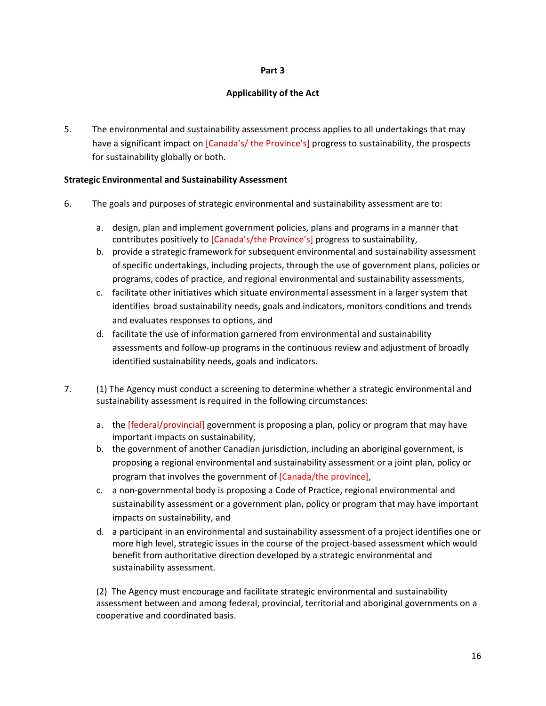#### **Part 3**

#### **Applicability of the Act**

5. The environmental and sustainability assessment process applies to all undertakings that may have a significant impact on [Canada's/ the Province's] progress to sustainability, the prospects for sustainability globally or both.

#### **Strategic Environmental and Sustainability Assessment**

- 6. The goals and purposes of strategic environmental and sustainability assessment are to:
	- a. design, plan and implement government policies, plans and programs in a manner that contributes positively to [Canada's/the Province's] progress to sustainability,
	- b. provide a strategic framework for subsequent environmental and sustainability assessment of specific undertakings, including projects, through the use of government plans, policies or programs, codes of practice, and regional environmental and sustainability assessments,
	- c. facilitate other initiatives which situate environmental assessment in a larger system that identifies broad sustainability needs, goals and indicators, monitors conditions and trends and evaluates responses to options, and
	- d. facilitate the use of information garnered from environmental and sustainability assessments and follow‐up programs in the continuous review and adjustment of broadly identified sustainability needs, goals and indicators.
- 7. (1) The Agency must conduct a screening to determine whether a strategic environmental and sustainability assessment is required in the following circumstances:
	- a. the [federal/provincial] government is proposing a plan, policy or program that may have important impacts on sustainability,
	- b. the government of another Canadian jurisdiction, including an aboriginal government, is proposing a regional environmental and sustainability assessment or a joint plan, policy or program that involves the government of [Canada/the province],
	- c. a non‐governmental body is proposing a Code of Practice, regional environmental and sustainability assessment or a government plan, policy or program that may have important impacts on sustainability, and
	- d. a participant in an environmental and sustainability assessment of a project identifies one or more high level, strategic issues in the course of the project-based assessment which would benefit from authoritative direction developed by a strategic environmental and sustainability assessment.

(2) The Agency must encourage and facilitate strategic environmental and sustainability assessment between and among federal, provincial, territorial and aboriginal governments on a cooperative and coordinated basis.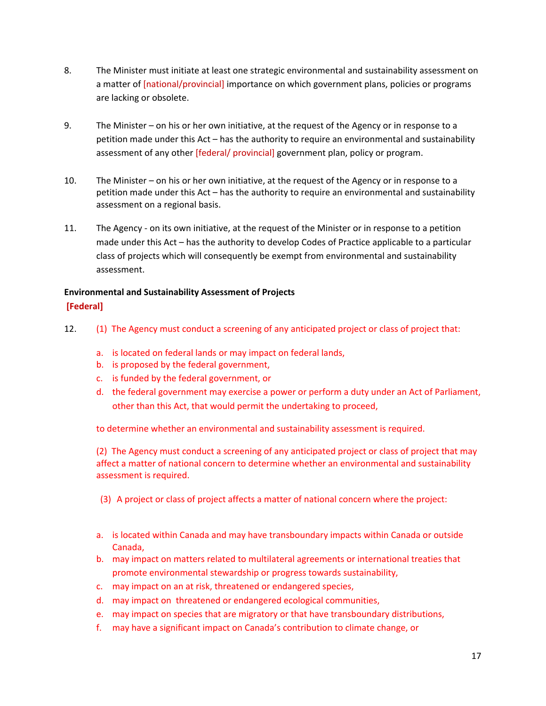- 8. The Minister must initiate at least one strategic environmental and sustainability assessment on a matter of [national/provincial] importance on which government plans, policies or programs are lacking or obsolete.
- 9. The Minister on his or her own initiative, at the request of the Agency or in response to a petition made under this Act – has the authority to require an environmental and sustainability assessment of any other [federal/ provincial] government plan, policy or program.
- 10. The Minister on his or her own initiative, at the request of the Agency or in response to a petition made under this Act – has the authority to require an environmental and sustainability assessment on a regional basis.
- 11. The Agency on its own initiative, at the request of the Minister or in response to a petition made under this Act – has the authority to develop Codes of Practice applicable to a particular class of projects which will consequently be exempt from environmental and sustainability assessment.

## **Environmental and Sustainability Assessment of Projects [Federal]**

- 12. (1) The Agency must conduct a screening of any anticipated project or class of project that:
	- a. is located on federal lands or may impact on federal lands,
	- b. is proposed by the federal government,
	- c. is funded by the federal government, or
	- d. the federal government may exercise a power or perform a duty under an Act of Parliament, other than this Act, that would permit the undertaking to proceed,

to determine whether an environmental and sustainability assessment is required.

(2) The Agency must conduct a screening of any anticipated project or class of project that may affect a matter of national concern to determine whether an environmental and sustainability assessment is required.

(3) A project or class of project affects a matter of national concern where the project:

- a. is located within Canada and may have transboundary impacts within Canada or outside Canada,
- b. may impact on matters related to multilateral agreements or international treaties that promote environmental stewardship or progress towards sustainability,
- c. may impact on an at risk, threatened or endangered species,
- d. may impact on threatened or endangered ecological communities,
- e. may impact on species that are migratory or that have transboundary distributions,
- f. may have a significant impact on Canada's contribution to climate change, or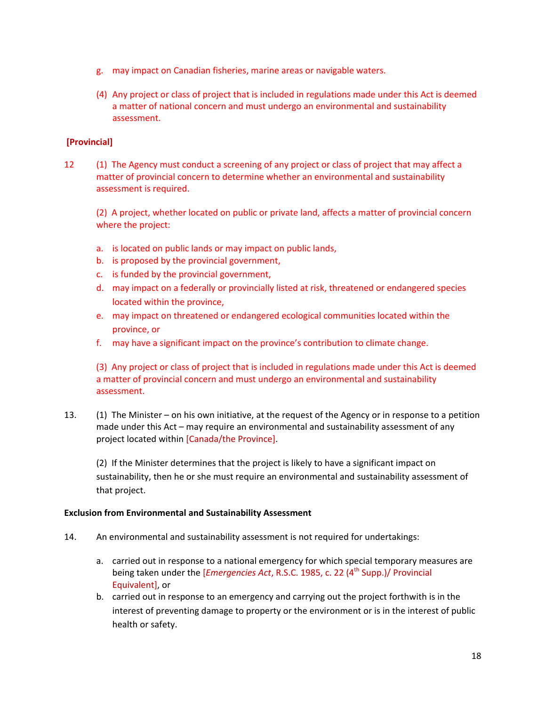- g. may impact on Canadian fisheries, marine areas or navigable waters.
- (4) Any project or class of project that is included in regulations made under this Act is deemed a matter of national concern and must undergo an environmental and sustainability assessment.

## **[Provincial]**

12 (1) The Agency must conduct a screening of any project or class of project that may affect a matter of provincial concern to determine whether an environmental and sustainability assessment is required.

(2) A project, whether located on public or private land, affects a matter of provincial concern where the project:

- a. is located on public lands or may impact on public lands,
- b. is proposed by the provincial government,
- c. is funded by the provincial government,
- d. may impact on a federally or provincially listed at risk, threatened or endangered species located within the province,
- e. may impact on threatened or endangered ecological communities located within the province, or
- f. may have a significant impact on the province's contribution to climate change.

(3) Any project or class of project that is included in regulations made under this Act is deemed a matter of provincial concern and must undergo an environmental and sustainability assessment.

13. (1) The Minister – on his own initiative, at the request of the Agency or in response to a petition made under this Act – may require an environmental and sustainability assessment of any project located within [Canada/the Province].

(2) If the Minister determines that the project is likely to have a significant impact on sustainability, then he or she must require an environmental and sustainability assessment of that project.

#### **Exclusion from Environmental and Sustainability Assessment**

- 14. An environmental and sustainability assessment is not required for undertakings:
	- a. carried out in response to a national emergency for which special temporary measures are being taken under the [*Emergencies Act*, R.S.C. 1985, c. 22 (4<sup>th</sup> Supp.)/ Provincial Equivalent], or
	- b. carried out in response to an emergency and carrying out the project forthwith is in the interest of preventing damage to property or the environment or is in the interest of public health or safety.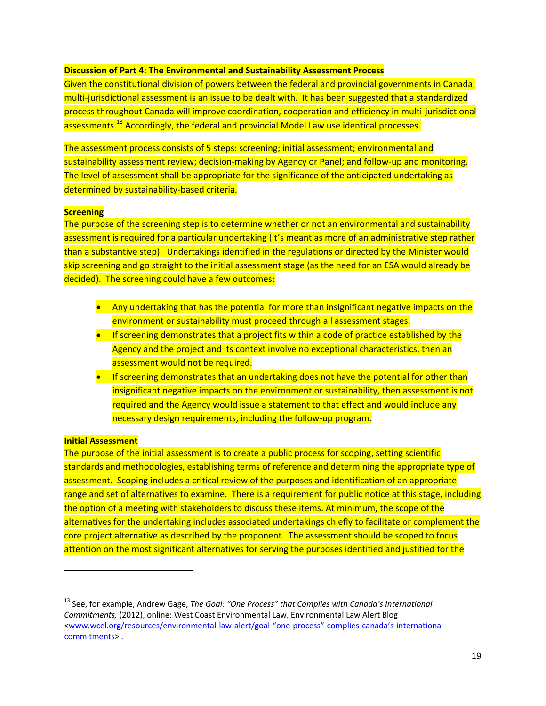#### **Discussion of Part 4: The Environmental and Sustainability Assessment Process**

Given the constitutional division of powers between the federal and provincial governments in Canada, multi-jurisdictional assessment is an issue to be dealt with. It has been suggested that a standardized process throughout Canada will improve coordination, cooperation and efficiency in multi‐jurisdictional assessments.13 Accordingly, the federal and provincial Model Law use identical processes.

The assessment process consists of 5 steps: screening; initial assessment; environmental and sustainability assessment review; decision-making by Agency or Panel; and follow-up and monitoring. The level of assessment shall be appropriate for the significance of the anticipated undertaking as determined by sustainability-based criteria.

#### **Screening**

The purpose of the screening step is to determine whether or not an environmental and sustainability assessment is required for a particular undertaking (it's meant as more of an administrative step rather than a substantive step). Undertakings identified in the regulations or directed by the Minister would skip screening and go straight to the initial assessment stage (as the need for an ESA would already be decided). The screening could have a few outcomes:

- Any undertaking that has the potential for more than insignificant negative impacts on the environment or sustainability must proceed through all assessment stages.
- **If screening demonstrates that a project fits within a code of practice established by the** Agency and the project and its context involve no exceptional characteristics, then an assessment would not be required.
- **If screening demonstrates that an undertaking does not have the potential for other than** insignificant negative impacts on the environment or sustainability, then assessment is not required and the Agency would issue a statement to that effect and would include any necessary design requirements, including the follow‐up program.

#### **Initial Assessment**

The purpose of the initial assessment is to create a public process for scoping, setting scientific standards and methodologies, establishing terms of reference and determining the appropriate type of assessment. Scoping includes a critical review of the purposes and identification of an appropriate range and set of alternatives to examine. There is a requirement for public notice at this stage, including the option of a meeting with stakeholders to discuss these items. At minimum, the scope of the alternatives for the undertaking includes associated undertakings chiefly to facilitate or complement the core project alternative as described by the proponent. The assessment should be scoped to focus attention on the most significant alternatives for serving the purposes identified and justified for the

<sup>13</sup> See, for example, Andrew Gage, *The Goal: "One Process" that Complies with Canada's International Commitments,* (2012), online: West Coast Environmental Law, Environmental Law Alert Blog [<www.wcel.org/resources/environmental](http://www.wcel.org/resources/environmental%E2%80%90law%E2%80%90alert/goal%E2%80%90%E2%80%9Cone%E2%80%90process%E2%80%9D%E2%80%90complies%E2%80%90canada%E2%80%99s%E2%80%90internationa%E2%80%90commitments)‐law‐alert/goal‐"one‐process"‐complies‐canada's‐internationa‐ commitments> .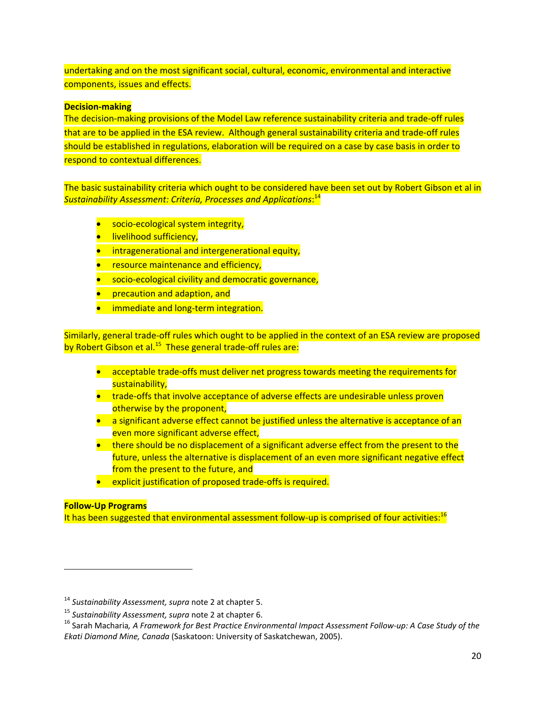undertaking and on the most significant social, cultural, economic, environmental and interactive components, issues and effects.

## **Decision‐making**

The decision‐making provisions of the Model Law reference sustainability criteria and trade‐off rules that are to be applied in the ESA review. Although general sustainability criteria and trade-off rules should be established in regulations, elaboration will be required on a case by case basis in order to respond to contextual differences.

The basic sustainability criteria which ought to be considered have been set out by Robert Gibson et al in *Sustainability Assessment: Criteria, Processes and Applications*: 14

- socio-ecological system integrity,
- **·** livelihood sufficiency,
- **•** intragenerational and intergenerational equity,
- **•** resource maintenance and efficiency,
- socio-ecological civility and democratic governance,
- **•** precaution and adaption, and
- immediate and long-term integration.

Similarly, general trade‐off rules which ought to be applied in the context of an ESA review are proposed by Robert Gibson et al.<sup>15</sup> These general trade-off rules are:

- acceptable trade-offs must deliver net progress towards meeting the requirements for sustainability,
- trade-offs that involve acceptance of adverse effects are undesirable unless proven otherwise by the proponent,
- a significant adverse effect cannot be justified unless the alternative is acceptance of an even more significant adverse effect,
- there should be no displacement of a significant adverse effect from the present to the future, unless the alternative is displacement of an even more significant negative effect from the present to the future, and
- explicit justification of proposed trade-offs is required.

#### **Follow‐Up Programs**

It has been suggested that environmental assessment follow-up is comprised of four activities: $^{16}$ 

<sup>14</sup> *Sustainability Assessment, supra* note 2 at chapter 5.

<sup>&</sup>lt;sup>15</sup> Sustainability Assessment, supra note 2 at chapter 6.<br><sup>16</sup> Sarah Macharia, A Framework for Best Practice Environmental Impact Assessment Follow-up: A Case Study of the *Ekati Diamond Mine, Canada* (Saskatoon: University of Saskatchewan, 2005).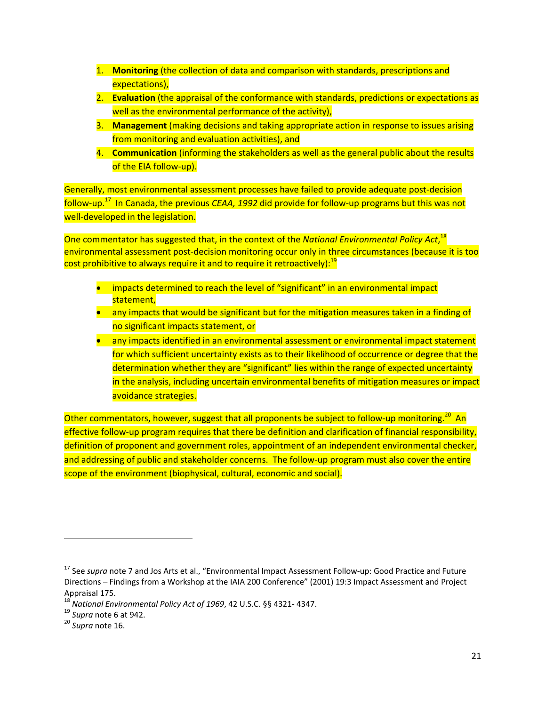- 1. **Monitoring** (the collection of data and comparison with standards, prescriptions and expectations),
- 2. **Evaluation** (the appraisal of the conformance with standards, predictions or expectations as well as the environmental performance of the activity),
- 3. **Management** (making decisions and taking appropriate action in response to issues arising from monitoring and evaluation activities), and
- 4. **Communication** (informing the stakeholders as well as the general public about the results of the EIA follow-up).

Generally, most environmental assessment processes have failed to provide adequate post‐decision follow‐up.<sup>17</sup> In Canada, the previous *CEAA, 1992* did provide for follow‐up programs but this was not well-developed in the legislation.

One commentator has suggested that, in the context of the *National Environmental Policy Act*, 18 environmental assessment post‐decision monitoring occur only in three circumstances (because it is too cost prohibitive to always require it and to require it retroactively):<sup>19</sup>

- impacts determined to reach the level of "significant" in an environmental impact statement,
- any impacts that would be significant but for the mitigation measures taken in a finding of no significant impacts statement, or
- any impacts identified in an environmental assessment or environmental impact statement for which sufficient uncertainty exists as to their likelihood of occurrence or degree that the determination whether they are "significant" lies within the range of expected uncertainty in the analysis, including uncertain environmental benefits of mitigation measures or impact avoidance strategies.

Other commentators, however, suggest that all proponents be subject to follow-up monitoring.<sup>20</sup> An effective follow-up program requires that there be definition and clarification of financial responsibility, definition of proponent and government roles, appointment of an independent environmental checker, and addressing of public and stakeholder concerns. The follow-up program must also cover the entire scope of the environment (biophysical, cultural, economic and social).

<sup>17</sup> See *supra* note 7 and Jos Arts et al., "Environmental Impact Assessment Follow‐up: Good Practice and Future Directions – Findings from a Workshop at the IAIA 200 Conference" (2001) 19:3 Impact Assessment and Project Appraisal 175. <sup>18</sup> *National Environmental Policy Act of <sup>1969</sup>*, <sup>42</sup> U.S.C. §§ <sup>4321</sup>‐ 4347. <sup>19</sup> *Supra* note <sup>6</sup> at 942. <sup>20</sup> *Supra* note 16.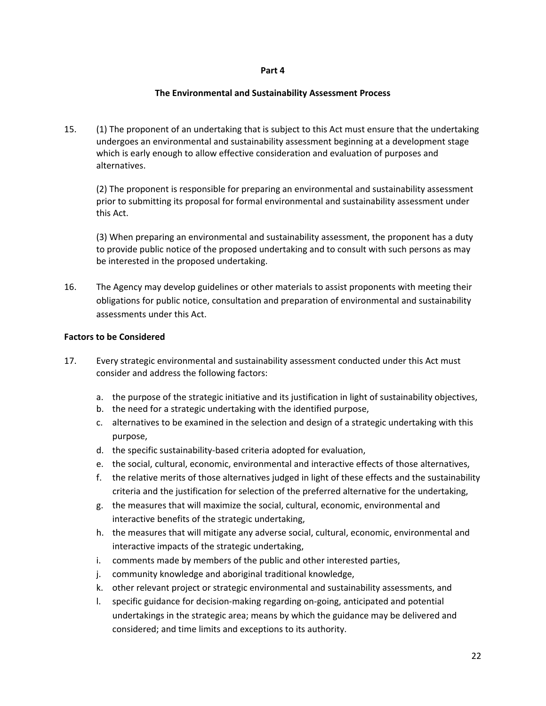#### **Part 4**

#### **The Environmental and Sustainability Assessment Process**

15. (1) The proponent of an undertaking that is subject to this Act must ensure that the undertaking undergoes an environmental and sustainability assessment beginning at a development stage which is early enough to allow effective consideration and evaluation of purposes and alternatives.

(2) The proponent is responsible for preparing an environmental and sustainability assessment prior to submitting its proposal for formal environmental and sustainability assessment under this Act.

(3) When preparing an environmental and sustainability assessment, the proponent has a duty to provide public notice of the proposed undertaking and to consult with such persons as may be interested in the proposed undertaking.

16. The Agency may develop guidelines or other materials to assist proponents with meeting their obligations for public notice, consultation and preparation of environmental and sustainability assessments under this Act.

#### **Factors to be Considered**

- 17. Every strategic environmental and sustainability assessment conducted under this Act must consider and address the following factors:
	- a. the purpose of the strategic initiative and its justification in light of sustainability objectives,
	- b. the need for a strategic undertaking with the identified purpose,
	- c. alternatives to be examined in the selection and design of a strategic undertaking with this purpose,
	- d. the specific sustainability‐based criteria adopted for evaluation,
	- e. the social, cultural, economic, environmental and interactive effects of those alternatives,
	- f. the relative merits of those alternatives judged in light of these effects and the sustainability criteria and the justification for selection of the preferred alternative for the undertaking,
	- g. the measures that will maximize the social, cultural, economic, environmental and interactive benefits of the strategic undertaking,
	- h. the measures that will mitigate any adverse social, cultural, economic, environmental and interactive impacts of the strategic undertaking,
	- i. comments made by members of the public and other interested parties,
	- j. community knowledge and aboriginal traditional knowledge,
	- k. other relevant project or strategic environmental and sustainability assessments, and
	- l. specific guidance for decision‐making regarding on‐going, anticipated and potential undertakings in the strategic area; means by which the guidance may be delivered and considered; and time limits and exceptions to its authority.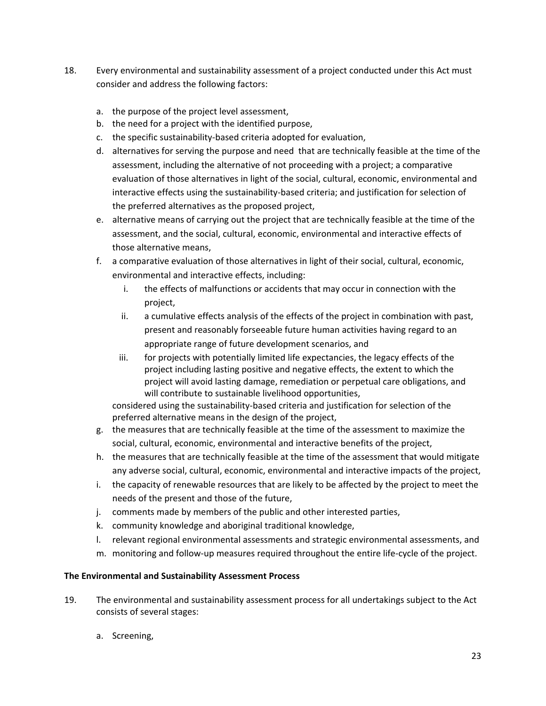- 18. Every environmental and sustainability assessment of a project conducted under this Act must consider and address the following factors:
	- a. the purpose of the project level assessment,
	- b. the need for a project with the identified purpose,
	- c. the specific sustainability‐based criteria adopted for evaluation,
	- d. alternatives for serving the purpose and need that are technically feasible at the time of the assessment, including the alternative of not proceeding with a project; a comparative evaluation of those alternatives in light of the social, cultural, economic, environmental and interactive effects using the sustainability‐based criteria; and justification for selection of the preferred alternatives as the proposed project,
	- e. alternative means of carrying out the project that are technically feasible at the time of the assessment, and the social, cultural, economic, environmental and interactive effects of those alternative means,
	- f. a comparative evaluation of those alternatives in light of their social, cultural, economic, environmental and interactive effects, including:
		- i. the effects of malfunctions or accidents that may occur in connection with the project,
		- ii. a cumulative effects analysis of the effects of the project in combination with past, present and reasonably forseeable future human activities having regard to an appropriate range of future development scenarios, and
		- iii. for projects with potentially limited life expectancies, the legacy effects of the project including lasting positive and negative effects, the extent to which the project will avoid lasting damage, remediation or perpetual care obligations, and will contribute to sustainable livelihood opportunities,

considered using the sustainability-based criteria and justification for selection of the preferred alternative means in the design of the project,

- g. the measures that are technically feasible at the time of the assessment to maximize the social, cultural, economic, environmental and interactive benefits of the project,
- h. the measures that are technically feasible at the time of the assessment that would mitigate any adverse social, cultural, economic, environmental and interactive impacts of the project,
- i. the capacity of renewable resources that are likely to be affected by the project to meet the needs of the present and those of the future,
- j. comments made by members of the public and other interested parties,
- k. community knowledge and aboriginal traditional knowledge,
- l. relevant regional environmental assessments and strategic environmental assessments, and
- m. monitoring and follow‐up measures required throughout the entire life‐cycle of the project.

## **The Environmental and Sustainability Assessment Process**

- 19. The environmental and sustainability assessment process for all undertakings subject to the Act consists of several stages:
	- a. Screening,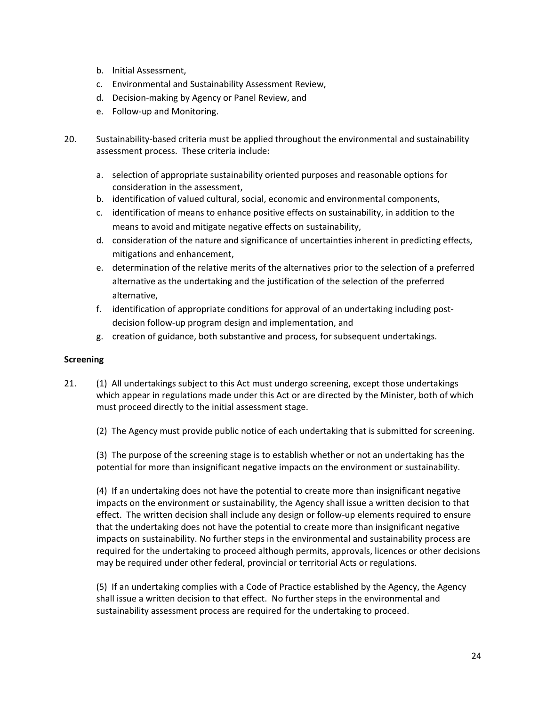- b. Initial Assessment,
- c. Environmental and Sustainability Assessment Review,
- d. Decision‐making by Agency or Panel Review, and
- e. Follow‐up and Monitoring.
- 20. Sustainability-based criteria must be applied throughout the environmental and sustainability assessment process. These criteria include:
	- a. selection of appropriate sustainability oriented purposes and reasonable options for consideration in the assessment,
	- b. identification of valued cultural, social, economic and environmental components,
	- c. identification of means to enhance positive effects on sustainability, in addition to the means to avoid and mitigate negative effects on sustainability,
	- d. consideration of the nature and significance of uncertainties inherent in predicting effects, mitigations and enhancement,
	- e. determination of the relative merits of the alternatives prior to the selection of a preferred alternative as the undertaking and the justification of the selection of the preferred alternative,
	- f. identification of appropriate conditions for approval of an undertaking including postdecision follow‐up program design and implementation, and
	- g. creation of guidance, both substantive and process, for subsequent undertakings.

#### **Screening**

- 21. (1) All undertakings subject to this Act must undergo screening, except those undertakings which appear in regulations made under this Act or are directed by the Minister, both of which must proceed directly to the initial assessment stage.
	- (2) The Agency must provide public notice of each undertaking that is submitted for screening.

(3) The purpose of the screening stage is to establish whether or not an undertaking has the potential for more than insignificant negative impacts on the environment or sustainability.

(4) If an undertaking does not have the potential to create more than insignificant negative impacts on the environment or sustainability, the Agency shall issue a written decision to that effect. The written decision shall include any design or follow‐up elements required to ensure that the undertaking does not have the potential to create more than insignificant negative impacts on sustainability. No further steps in the environmental and sustainability process are required for the undertaking to proceed although permits, approvals, licences or other decisions may be required under other federal, provincial or territorial Acts or regulations.

(5) If an undertaking complies with a Code of Practice established by the Agency, the Agency shall issue a written decision to that effect. No further steps in the environmental and sustainability assessment process are required for the undertaking to proceed.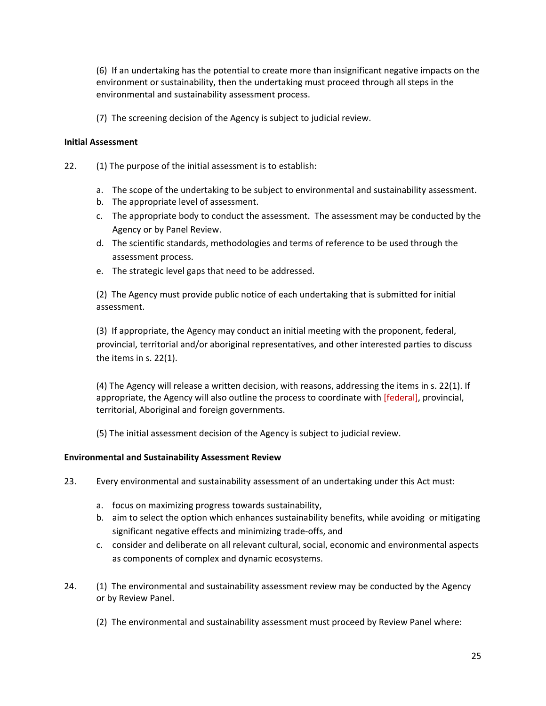(6) If an undertaking has the potential to create more than insignificant negative impacts on the environment or sustainability, then the undertaking must proceed through all steps in the environmental and sustainability assessment process.

(7) The screening decision of the Agency is subject to judicial review.

### **Initial Assessment**

- 22. (1) The purpose of the initial assessment is to establish:
	- a. The scope of the undertaking to be subject to environmental and sustainability assessment.
	- b. The appropriate level of assessment.
	- c. The appropriate body to conduct the assessment. The assessment may be conducted by the Agency or by Panel Review.
	- d. The scientific standards, methodologies and terms of reference to be used through the assessment process.
	- e. The strategic level gaps that need to be addressed.

(2) The Agency must provide public notice of each undertaking that is submitted for initial assessment.

(3) If appropriate, the Agency may conduct an initial meeting with the proponent, federal, provincial, territorial and/or aboriginal representatives, and other interested parties to discuss the items in s. 22(1).

(4) The Agency will release a written decision, with reasons, addressing the items in s. 22(1). If appropriate, the Agency will also outline the process to coordinate with [federal], provincial, territorial, Aboriginal and foreign governments.

(5) The initial assessment decision of the Agency is subject to judicial review.

#### **Environmental and Sustainability Assessment Review**

- 23. Every environmental and sustainability assessment of an undertaking under this Act must:
	- a. focus on maximizing progress towards sustainability,
	- b. aim to select the option which enhances sustainability benefits, while avoiding or mitigating significant negative effects and minimizing trade‐offs, and
	- c. consider and deliberate on all relevant cultural, social, economic and environmental aspects as components of complex and dynamic ecosystems.
- 24. (1) The environmental and sustainability assessment review may be conducted by the Agency or by Review Panel.
	- (2) The environmental and sustainability assessment must proceed by Review Panel where: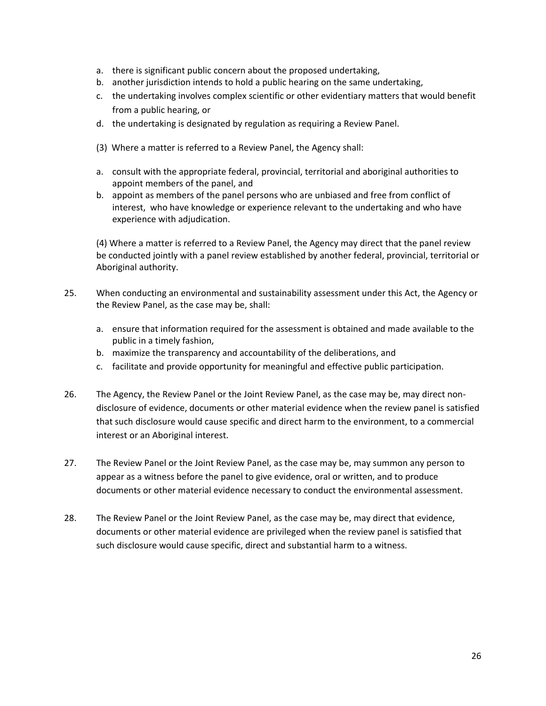- a. there is significant public concern about the proposed undertaking,
- b. another jurisdiction intends to hold a public hearing on the same undertaking,
- c. the undertaking involves complex scientific or other evidentiary matters that would benefit from a public hearing, or
- d. the undertaking is designated by regulation as requiring a Review Panel.
- (3) Where a matter is referred to a Review Panel, the Agency shall:
- a. consult with the appropriate federal, provincial, territorial and aboriginal authorities to appoint members of the panel, and
- b. appoint as members of the panel persons who are unbiased and free from conflict of interest, who have knowledge or experience relevant to the undertaking and who have experience with adjudication.

(4) Where a matter is referred to a Review Panel, the Agency may direct that the panel review be conducted jointly with a panel review established by another federal, provincial, territorial or Aboriginal authority.

- 25. When conducting an environmental and sustainability assessment under this Act, the Agency or the Review Panel, as the case may be, shall:
	- a. ensure that information required for the assessment is obtained and made available to the public in a timely fashion,
	- b. maximize the transparency and accountability of the deliberations, and
	- c. facilitate and provide opportunity for meaningful and effective public participation.
- 26. The Agency, the Review Panel or the Joint Review Panel, as the case may be, may direct non‐ disclosure of evidence, documents or other material evidence when the review panel is satisfied that such disclosure would cause specific and direct harm to the environment, to a commercial interest or an Aboriginal interest.
- 27. The Review Panel or the Joint Review Panel, as the case may be, may summon any person to appear as a witness before the panel to give evidence, oral or written, and to produce documents or other material evidence necessary to conduct the environmental assessment.
- 28. The Review Panel or the Joint Review Panel, as the case may be, may direct that evidence, documents or other material evidence are privileged when the review panel is satisfied that such disclosure would cause specific, direct and substantial harm to a witness.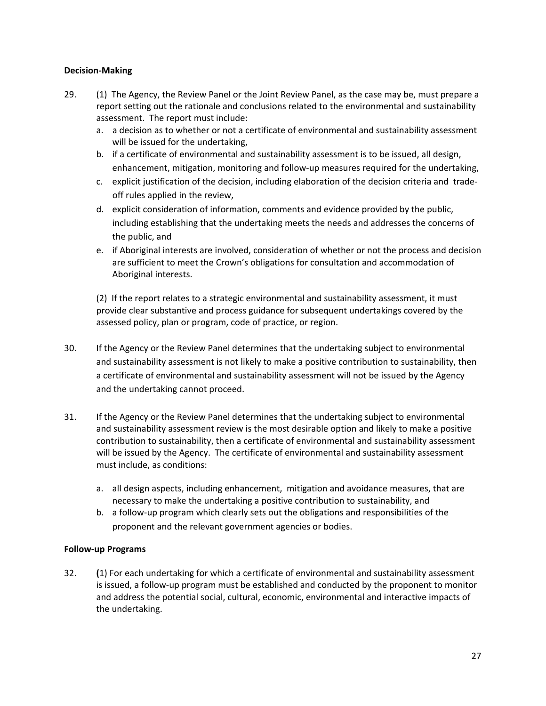#### **Decision‐Making**

- 29. (1) The Agency, the Review Panel or the Joint Review Panel, as the case may be, must prepare a report setting out the rationale and conclusions related to the environmental and sustainability assessment. The report must include:
	- a. a decision as to whether or not a certificate of environmental and sustainability assessment will be issued for the undertaking,
	- b. if a certificate of environmental and sustainability assessment is to be issued, all design, enhancement, mitigation, monitoring and follow-up measures required for the undertaking,
	- c. explicit justification of the decision, including elaboration of the decision criteria and trade‐ off rules applied in the review,
	- d. explicit consideration of information, comments and evidence provided by the public, including establishing that the undertaking meets the needs and addresses the concerns of the public, and
	- e. if Aboriginal interests are involved, consideration of whether or not the process and decision are sufficient to meet the Crown's obligations for consultation and accommodation of Aboriginal interests.

(2) If the report relates to a strategic environmental and sustainability assessment, it must provide clear substantive and process guidance for subsequent undertakings covered by the assessed policy, plan or program, code of practice, or region.

- 30. If the Agency or the Review Panel determines that the undertaking subject to environmental and sustainability assessment is not likely to make a positive contribution to sustainability, then a certificate of environmental and sustainability assessment will not be issued by the Agency and the undertaking cannot proceed.
- 31. If the Agency or the Review Panel determines that the undertaking subject to environmental and sustainability assessment review is the most desirable option and likely to make a positive contribution to sustainability, then a certificate of environmental and sustainability assessment will be issued by the Agency. The certificate of environmental and sustainability assessment must include, as conditions:
	- a. all design aspects, including enhancement, mitigation and avoidance measures, that are necessary to make the undertaking a positive contribution to sustainability, and
	- b. a follow‐up program which clearly sets out the obligations and responsibilities of the proponent and the relevant government agencies or bodies.

#### **Follow‐up Programs**

32. **(**1) For each undertaking for which a certificate of environmental and sustainability assessment is issued, a follow‐up program must be established and conducted by the proponent to monitor and address the potential social, cultural, economic, environmental and interactive impacts of the undertaking.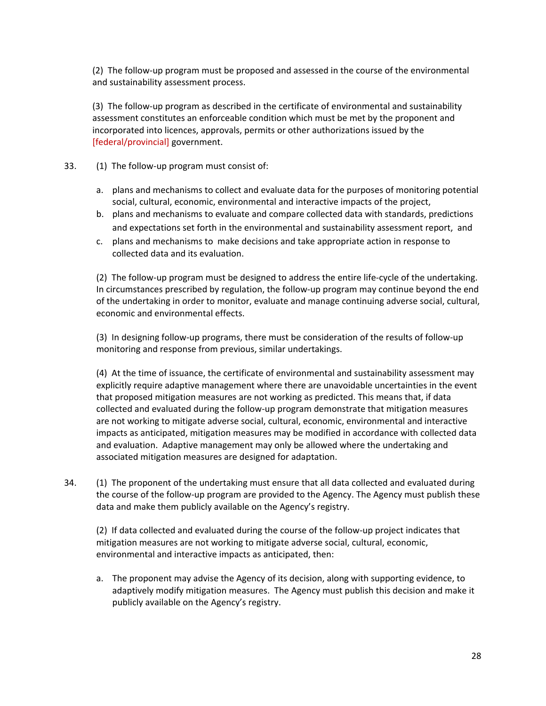(2) The follow‐up program must be proposed and assessed in the course of the environmental and sustainability assessment process.

(3) The follow‐up program as described in the certificate of environmental and sustainability assessment constitutes an enforceable condition which must be met by the proponent and incorporated into licences, approvals, permits or other authorizations issued by the [federal/provincial] government.

- 33. (1) The follow-up program must consist of:
	- a. plans and mechanisms to collect and evaluate data for the purposes of monitoring potential social, cultural, economic, environmental and interactive impacts of the project,
	- b. plans and mechanisms to evaluate and compare collected data with standards, predictions and expectations set forth in the environmental and sustainability assessment report, and
	- c. plans and mechanisms to make decisions and take appropriate action in response to collected data and its evaluation.

(2) The follow‐up program must be designed to address the entire life‐cycle of the undertaking. In circumstances prescribed by regulation, the follow-up program may continue beyond the end of the undertaking in order to monitor, evaluate and manage continuing adverse social, cultural, economic and environmental effects.

(3) In designing follow‐up programs, there must be consideration of the results of follow‐up monitoring and response from previous, similar undertakings.

(4) At the time of issuance, the certificate of environmental and sustainability assessment may explicitly require adaptive management where there are unavoidable uncertainties in the event that proposed mitigation measures are not working as predicted. This means that, if data collected and evaluated during the follow‐up program demonstrate that mitigation measures are not working to mitigate adverse social, cultural, economic, environmental and interactive impacts as anticipated, mitigation measures may be modified in accordance with collected data and evaluation. Adaptive management may only be allowed where the undertaking and associated mitigation measures are designed for adaptation.

34. (1) The proponent of the undertaking must ensure that all data collected and evaluated during the course of the follow‐up program are provided to the Agency. The Agency must publish these data and make them publicly available on the Agency's registry.

(2) If data collected and evaluated during the course of the follow‐up project indicates that mitigation measures are not working to mitigate adverse social, cultural, economic, environmental and interactive impacts as anticipated, then:

a. The proponent may advise the Agency of its decision, along with supporting evidence, to adaptively modify mitigation measures. The Agency must publish this decision and make it publicly available on the Agency's registry.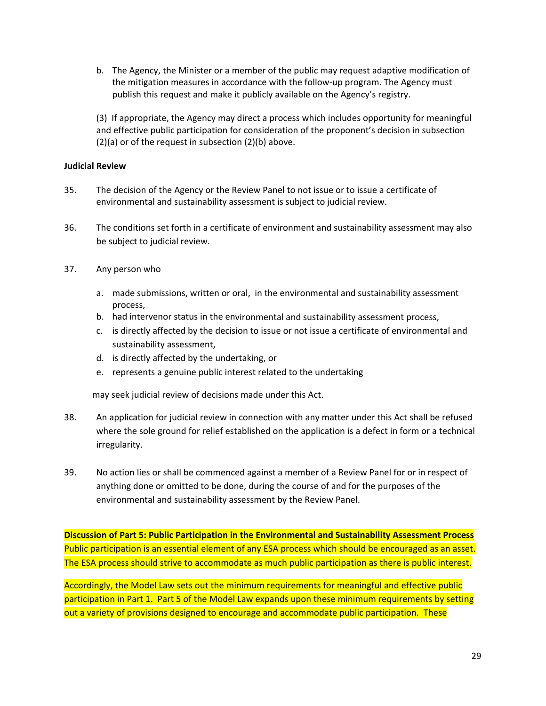b. The Agency, the Minister or a member of the public may request adaptive modification of the mitigation measures in accordance with the follow‐up program. The Agency must publish this request and make it publicly available on the Agency's registry.

(3) If appropriate, the Agency may direct a process which includes opportunity for meaningful and effective public participation for consideration of the proponent's decision in subsection (2)(a) or of the request in subsection (2)(b) above.

#### **Judicial Review**

- 35. The decision of the Agency or the Review Panel to not issue or to issue a certificate of environmental and sustainability assessment is subject to judicial review.
- 36. The conditions set forth in a certificate of environment and sustainability assessment may also be subject to judicial review.
- 37. Any person who
	- a. made submissions, written or oral, in the environmental and sustainability assessment process,
	- b. had intervenor status in the environmental and sustainability assessment process,
	- c. is directly affected by the decision to issue or not issue a certificate of environmental and sustainability assessment,
	- d. is directly affected by the undertaking, or
	- e. represents a genuine public interest related to the undertaking

may seek judicial review of decisions made under this Act.

- 38. An application for judicial review in connection with any matter under this Act shall be refused where the sole ground for relief established on the application is a defect in form or a technical irregularity.
- 39. No action lies or shall be commenced against a member of a Review Panel for or in respect of anything done or omitted to be done, during the course of and for the purposes of the environmental and sustainability assessment by the Review Panel.

**Discussion of Part 5: Public Participation in the Environmental and Sustainability Assessment Process** Public participation is an essential element of any ESA process which should be encouraged as an asset. The ESA process should strive to accommodate as much public participation as there is public interest.

Accordingly, the Model Law sets out the minimum requirements for meaningful and effective public participation in Part 1. Part 5 of the Model Law expands upon these minimum requirements by setting out a variety of provisions designed to encourage and accommodate public participation. These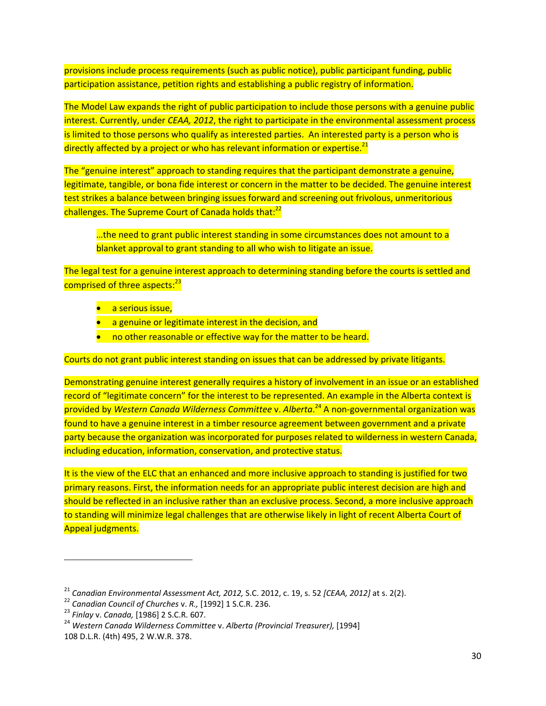provisions include process requirements (such as public notice), public participant funding, public participation assistance, petition rights and establishing a public registry of information.

The Model Law expands the right of public participation to include those persons with a genuine public interest. Currently, under *CEAA, 2012*, the right to participate in the environmental assessment process is limited to those persons who qualify as interested parties. An interested party is a person who is directly affected by a project or who has relevant information or expertise.<sup>21</sup>

The "genuine interest" approach to standing requires that the participant demonstrate a genuine, legitimate, tangible, or bona fide interest or concern in the matter to be decided. The genuine interest test strikes a balance between bringing issues forward and screening out frivolous, unmeritorious challenges. The Supreme Court of Canada holds that:<sup>22</sup>

…the need to grant public interest standing in some circumstances does not amount to a blanket approval to grant standing to all who wish to litigate an issue.

The legal test for a genuine interest approach to determining standing before the courts is settled and comprised of three aspects:<sup>23</sup>

- **a** serious issue,
- a genuine or legitimate interest in the decision, and
- no other reasonable or effective way for the matter to be heard.

Courts do not grant public interest standing on issues that can be addressed by private litigants.

Demonstrating genuine interest generally requires a history of involvement in an issue or an established record of "legitimate concern" for the interest to be represented. An example in the Alberta context is provided by *Western Canada Wilderness Committee* v. *Alberta*. <sup>24</sup> A non‐governmental organization was found to have a genuine interest in a timber resource agreement between government and a private party because the organization was incorporated for purposes related to wilderness in western Canada, including education, information, conservation, and protective status.

It is the view of the ELC that an enhanced and more inclusive approach to standing is justified for two primary reasons. First, the information needs for an appropriate public interest decision are high and should be reflected in an inclusive rather than an exclusive process. Second, a more inclusive approach to standing will minimize legal challenges that are otherwise likely in light of recent Alberta Court of Appeal judgments.

<sup>&</sup>lt;sup>21</sup> Canadian Environmental Assessment Act, 2012, S.C. 2012, c. 19, s. 52 [CEAA, 2012] at s. 2(2).<br><sup>22</sup> Canadian Council of Churches v. R., [1992] 1 S.C.R. 236.<br><sup>23</sup> Finlay v. Canada, [1986] 2 S.C.R. 607.<br><sup>24</sup> Western Can

<sup>108</sup> D.L.R. (4th) 495, 2 W.W.R. 378.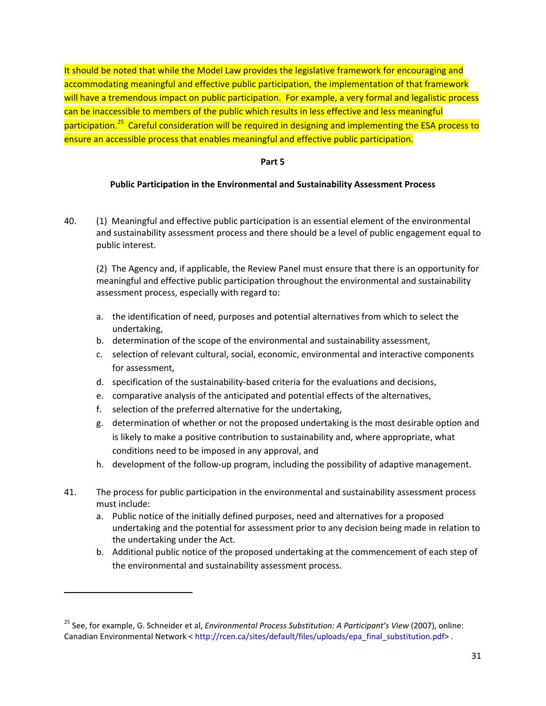It should be noted that while the Model Law provides the legislative framework for encouraging and accommodating meaningful and effective public participation, the implementation of that framework will have a tremendous impact on public participation. For example, a very formal and legalistic process can be inaccessible to members of the public which results in less effective and less meaningful participation.<sup>25</sup> Careful consideration will be required in designing and implementing the ESA process to ensure an accessible process that enables meaningful and effective public participation.

#### **Part 5**

#### **Public Participation in the Environmental and Sustainability Assessment Process**

40. (1) Meaningful and effective public participation is an essential element of the environmental and sustainability assessment process and there should be a level of public engagement equal to public interest.

(2) The Agency and, if applicable, the Review Panel must ensure that there is an opportunity for meaningful and effective public participation throughout the environmental and sustainability assessment process, especially with regard to:

- a. the identification of need, purposes and potential alternatives from which to select the undertaking,
- b. determination of the scope of the environmental and sustainability assessment,
- c. selection of relevant cultural, social, economic, environmental and interactive components for assessment,
- d. specification of the sustainability-based criteria for the evaluations and decisions,
- e. comparative analysis of the anticipated and potential effects of the alternatives,
- f. selection of the preferred alternative for the undertaking,

- g. determination of whether or not the proposed undertaking is the most desirable option and is likely to make a positive contribution to sustainability and, where appropriate, what conditions need to be imposed in any approval, and
- h. development of the follow‐up program, including the possibility of adaptive management.
- 41. The process for public participation in the environmental and sustainability assessment process must include:
	- a. Public notice of the initially defined purposes, need and alternatives for a proposed undertaking and the potential for assessment prior to any decision being made in relation to the undertaking under the Act.
	- b. Additional public notice of the proposed undertaking at the commencement of each step of the environmental and sustainability assessment process.

<sup>25</sup> See, for example, G. Schneider et al, *Environmental Process Substitution: A Participant's View* (2007), online: Canadian Environmental Network < [http://rcen.ca/sites/default/files/uploads/epa\\_final\\_substitution.pdf>](http://rcen.ca/sites/default/files/uploads/epa_final_substitution.pdf) .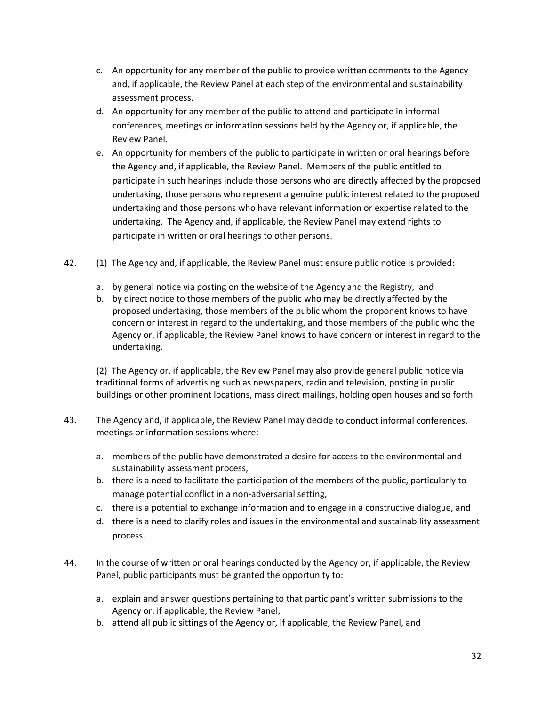- c. An opportunity for any member of the public to provide written comments to the Agency and, if applicable, the Review Panel at each step of the environmental and sustainability assessment process.
- d. An opportunity for any member of the public to attend and participate in informal conferences, meetings or information sessions held by the Agency or, if applicable, the Review Panel.
- e. An opportunity for members of the public to participate in written or oral hearings before the Agency and, if applicable, the Review Panel. Members of the public entitled to participate in such hearings include those persons who are directly affected by the proposed undertaking, those persons who represent a genuine public interest related to the proposed undertaking and those persons who have relevant information or expertise related to the undertaking. The Agency and, if applicable, the Review Panel may extend rights to participate in written or oral hearings to other persons.
- 42. (1) The Agency and, if applicable, the Review Panel must ensure public notice is provided:
	- a. by general notice via posting on the website of the Agency and the Registry, and
	- b. by direct notice to those members of the public who may be directly affected by the proposed undertaking, those members of the public whom the proponent knows to have concern or interest in regard to the undertaking, and those members of the public who the Agency or, if applicable, the Review Panel knows to have concern or interest in regard to the undertaking.

(2) The Agency or, if applicable, the Review Panel may also provide general public notice via traditional forms of advertising such as newspapers, radio and television, posting in public buildings or other prominent locations, mass direct mailings, holding open houses and so forth.

- 43. The Agency and, if applicable, the Review Panel may decide to conduct informal conferences, meetings or information sessions where:
	- a. members of the public have demonstrated a desire for access to the environmental and sustainability assessment process,
	- b. there is a need to facilitate the participation of the members of the public, particularly to manage potential conflict in a non‐adversarial setting,
	- c. there is a potential to exchange information and to engage in a constructive dialogue, and
	- d. there is a need to clarify roles and issues in the environmental and sustainability assessment process.
- 44. In the course of written or oral hearings conducted by the Agency or, if applicable, the Review Panel, public participants must be granted the opportunity to:
	- a. explain and answer questions pertaining to that participant's written submissions to the Agency or, if applicable, the Review Panel,
	- b. attend all public sittings of the Agency or, if applicable, the Review Panel, and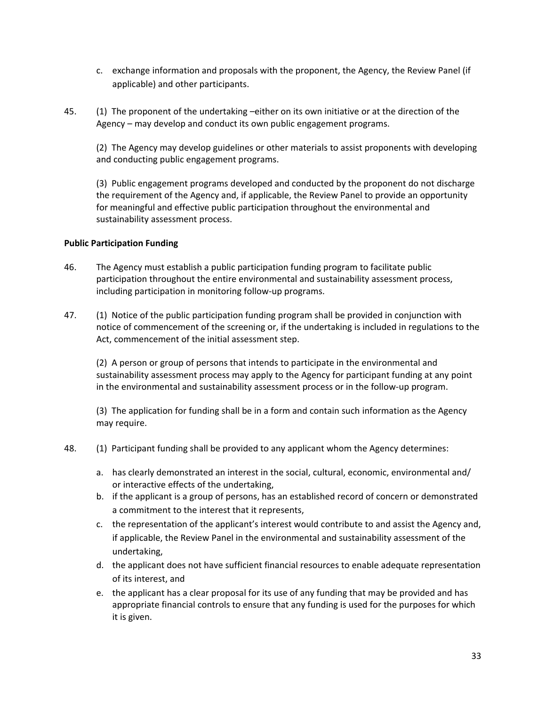- c. exchange information and proposals with the proponent, the Agency, the Review Panel (if applicable) and other participants.
- 45. (1) The proponent of the undertaking –either on its own initiative or at the direction of the Agency – may develop and conduct its own public engagement programs.

(2) The Agency may develop guidelines or other materials to assist proponents with developing and conducting public engagement programs.

(3) Public engagement programs developed and conducted by the proponent do not discharge the requirement of the Agency and, if applicable, the Review Panel to provide an opportunity for meaningful and effective public participation throughout the environmental and sustainability assessment process.

#### **Public Participation Funding**

- 46. The Agency must establish a public participation funding program to facilitate public participation throughout the entire environmental and sustainability assessment process, including participation in monitoring follow‐up programs.
- 47. (1) Notice of the public participation funding program shall be provided in conjunction with notice of commencement of the screening or, if the undertaking is included in regulations to the Act, commencement of the initial assessment step.

(2) A person or group of persons that intends to participate in the environmental and sustainability assessment process may apply to the Agency for participant funding at any point in the environmental and sustainability assessment process or in the follow-up program.

(3) The application for funding shall be in a form and contain such information as the Agency may require.

- 48. (1) Participant funding shall be provided to any applicant whom the Agency determines:
	- a. has clearly demonstrated an interest in the social, cultural, economic, environmental and/ or interactive effects of the undertaking,
	- b. if the applicant is a group of persons, has an established record of concern or demonstrated a commitment to the interest that it represents,
	- c. the representation of the applicant's interest would contribute to and assist the Agency and, if applicable, the Review Panel in the environmental and sustainability assessment of the undertaking,
	- d. the applicant does not have sufficient financial resources to enable adequate representation of its interest, and
	- e. the applicant has a clear proposal for its use of any funding that may be provided and has appropriate financial controls to ensure that any funding is used for the purposes for which it is given.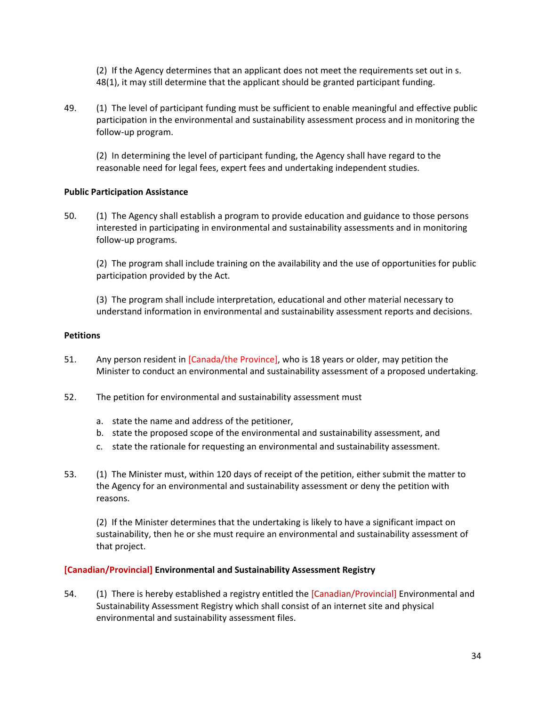(2) If the Agency determines that an applicant does not meet the requirements set out in s. 48(1), it may still determine that the applicant should be granted participant funding.

49. (1) The level of participant funding must be sufficient to enable meaningful and effective public participation in the environmental and sustainability assessment process and in monitoring the follow‐up program.

(2) In determining the level of participant funding, the Agency shall have regard to the reasonable need for legal fees, expert fees and undertaking independent studies.

#### **Public Participation Assistance**

50. (1) The Agency shall establish a program to provide education and guidance to those persons interested in participating in environmental and sustainability assessments and in monitoring follow‐up programs.

(2) The program shall include training on the availability and the use of opportunities for public participation provided by the Act.

(3) The program shall include interpretation, educational and other material necessary to understand information in environmental and sustainability assessment reports and decisions.

#### **Petitions**

- 51. Any person resident in [Canada/the Province], who is 18 years or older, may petition the Minister to conduct an environmental and sustainability assessment of a proposed undertaking.
- 52. The petition for environmental and sustainability assessment must
	- a. state the name and address of the petitioner,
	- b. state the proposed scope of the environmental and sustainability assessment, and
	- c. state the rationale for requesting an environmental and sustainability assessment.
- 53. (1) The Minister must, within 120 days of receipt of the petition, either submit the matter to the Agency for an environmental and sustainability assessment or deny the petition with reasons.

(2) If the Minister determines that the undertaking is likely to have a significant impact on sustainability, then he or she must require an environmental and sustainability assessment of that project.

#### **[Canadian/Provincial] Environmental and Sustainability Assessment Registry**

54. (1) There is hereby established a registry entitled the [Canadian/Provincial] Environmental and Sustainability Assessment Registry which shall consist of an internet site and physical environmental and sustainability assessment files.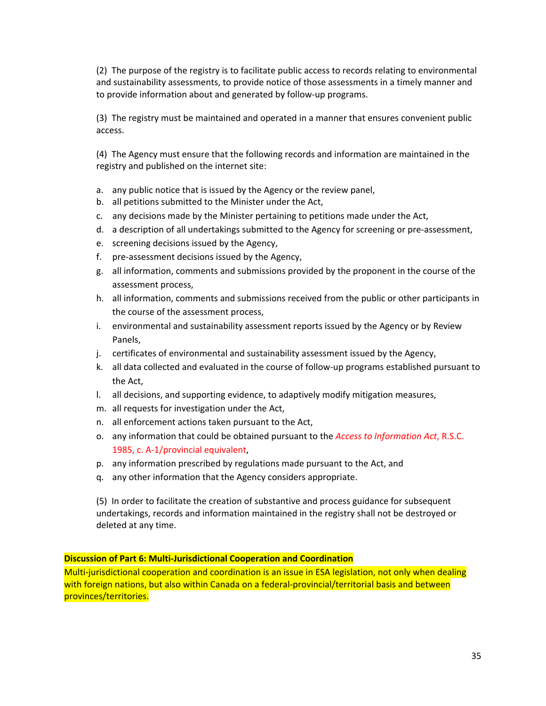(2) The purpose of the registry is to facilitate public access to records relating to environmental and sustainability assessments, to provide notice of those assessments in a timely manner and to provide information about and generated by follow‐up programs.

(3) The registry must be maintained and operated in a manner that ensures convenient public access.

(4) The Agency must ensure that the following records and information are maintained in the registry and published on the internet site:

- a. any public notice that is issued by the Agency or the review panel,
- b. all petitions submitted to the Minister under the Act,
- c. any decisions made by the Minister pertaining to petitions made under the Act,
- d. a description of all undertakings submitted to the Agency for screening or pre‐assessment,
- e. screening decisions issued by the Agency,
- f. pre‐assessment decisions issued by the Agency,
- g. all information, comments and submissions provided by the proponent in the course of the assessment process,
- h. all information, comments and submissions received from the public or other participants in the course of the assessment process,
- i. environmental and sustainability assessment reports issued by the Agency or by Review Panels,
- j. certificates of environmental and sustainability assessment issued by the Agency,
- k. all data collected and evaluated in the course of follow‐up programs established pursuant to the Act,
- l. all decisions, and supporting evidence, to adaptively modify mitigation measures,
- m. all requests for investigation under the Act,
- n. all enforcement actions taken pursuant to the Act,
- o. any information that could be obtained pursuant to the *Access to Information Act*, R.S.C. 1985, c. A-1/provincial equivalent,
- p. any information prescribed by regulations made pursuant to the Act, and
- q. any other information that the Agency considers appropriate.

(5) In order to facilitate the creation of substantive and process guidance for subsequent undertakings, records and information maintained in the registry shall not be destroyed or deleted at any time.

## **Discussion of Part 6: Multi‐Jurisdictional Cooperation and Coordination**

Multi-jurisdictional cooperation and coordination is an issue in ESA legislation, not only when dealing with foreign nations, but also within Canada on a federal-provincial/territorial basis and between provinces/territories.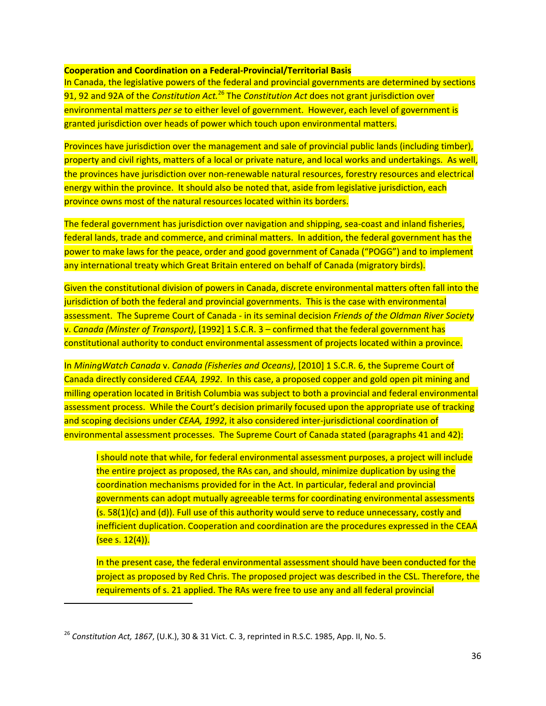#### **Cooperation and Coordination on a Federal‐Provincial/Territorial Basis**

In Canada, the legislative powers of the federal and provincial governments are determined by sections 91, 92 and 92A of the *Constitution Act.*<sup>26</sup> The *Constitution Act* does not grant jurisdiction over environmental matters *per se* to either level of government. However, each level of government is granted jurisdiction over heads of power which touch upon environmental matters.

Provinces have jurisdiction over the management and sale of provincial public lands (including timber), property and civil rights, matters of a local or private nature, and local works and undertakings. As well, the provinces have jurisdiction over non‐renewable natural resources, forestry resources and electrical energy within the province. It should also be noted that, aside from legislative jurisdiction, each province owns most of the natural resources located within its borders.

The federal government has jurisdiction over navigation and shipping, sea‐coast and inland fisheries, federal lands, trade and commerce, and criminal matters. In addition, the federal government has the power to make laws for the peace, order and good government of Canada ("POGG") and to implement any international treaty which Great Britain entered on behalf of Canada (migratory birds).

Given the constitutional division of powers in Canada, discrete environmental matters often fall into the jurisdiction of both the federal and provincial governments. This is the case with environmental assessment. The Supreme Court of Canada ‐ in its seminal decision *Friends of the Oldman River Society* v. *Canada (Minster of Transport)*, [1992] 1 S.C.R. 3 – confirmed that the federal government has constitutional authority to conduct environmental assessment of projects located within a province.

In *MiningWatch Canada* v. *Canada (Fisheries and Oceans)*, [2010] 1 S.C.R. 6, the Supreme Court of Canada directly considered *CEAA, 1992*. In this case, a proposed copper and gold open pit mining and milling operation located in British Columbia was subject to both a provincial and federal environmental assessment process. While the Court's decision primarily focused upon the appropriate use of tracking and scoping decisions under *CEAA, 1992*, it also considered inter‐jurisdictional coordination of environmental assessment processes. The Supreme Court of Canada stated (paragraphs 41 and 42):

I should note that while, for federal environmental assessment purposes, a project will include the entire project as proposed, the RAs can, and should, minimize duplication by using the coordination mechanisms provided for in the Act. In particular, federal and provincial governments can adopt mutually agreeable terms for coordinating environmental assessments (s. 58(1)(c) and (d)). Full use of this authority would serve to reduce unnecessary, costly and inefficient duplication. Cooperation and coordination are the procedures expressed in the CEAA (see s. 12(4)).

In the present case, the federal environmental assessment should have been conducted for the project as proposed by Red Chris. The proposed project was described in the CSL. Therefore, the requirements of s. 21 applied. The RAs were free to use any and all federal provincial

<sup>26</sup> *Constitution Act, 1867*, (U.K.), 30 & 31 Vict. C. 3, reprinted in R.S.C. 1985, App. II, No. 5.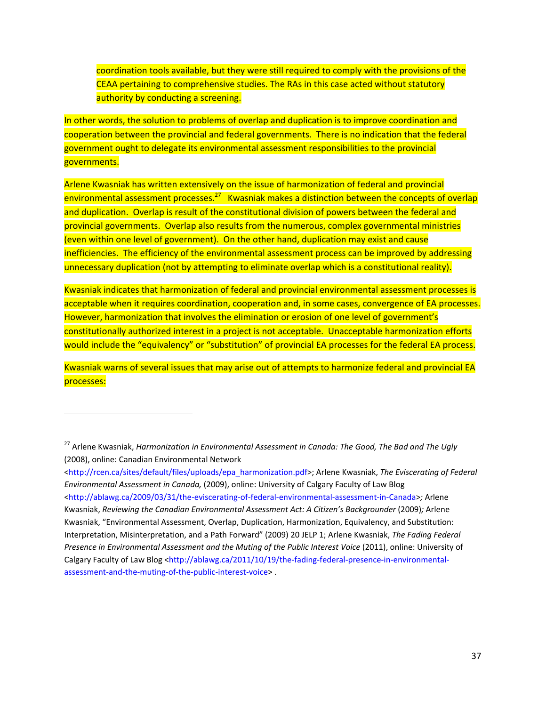coordination tools available, but they were still required to comply with the provisions of the CEAA pertaining to comprehensive studies. The RAs in this case acted without statutory authority by conducting a screening.

In other words, the solution to problems of overlap and duplication is to improve coordination and cooperation between the provincial and federal governments. There is no indication that the federal government ought to delegate its environmental assessment responsibilities to the provincial governments.

Arlene Kwasniak has written extensively on the issue of harmonization of federal and provincial environmental assessment processes.<sup>27</sup> Kwasniak makes a distinction between the concepts of overlap and duplication. Overlap is result of the constitutional division of powers between the federal and provincial governments. Overlap also results from the numerous, complex governmental ministries (even within one level of government). On the other hand, duplication may exist and cause inefficiencies. The efficiency of the environmental assessment process can be improved by addressing unnecessary duplication (not by attempting to eliminate overlap which is a constitutional reality).

Kwasniak indicates that harmonization of federal and provincial environmental assessment processes is acceptable when it requires coordination, cooperation and, in some cases, convergence of EA processes. However, harmonization that involves the elimination or erosion of one level of government's constitutionally authorized interest in a project is not acceptable. Unacceptable harmonization efforts would include the "equivalency" or "substitution" of provincial EA processes for the federal EA process.

Kwasniak warns of several issues that may arise out of attempts to harmonize federal and provincial EA processes:

<sup>27</sup> Arlene Kwasniak, *Harmonization in Environmental Assessment in Canada: The Good, The Bad and The Ugly* (2008), online: Canadian Environmental Network

[<sup>&</sup>lt;http://rcen.ca/sites/default/files/uploads/epa\\_harmonization.pdf>;](http://rcen.ca/sites/default/files/uploads/epa_harmonization.pdf) Arlene Kwasniak, *The Eviscerating of Federal Environmental Assessment in Canada,* (2009), online: University of Calgary Faculty of Law Blog [<http://ablawg.ca/2009/03/31/the](http://ablawg.ca/2009/03/31/the%E2%80%90eviscerating%E2%80%90of%E2%80%90federal%E2%80%90environmental%E2%80%90assessment%E2%80%90in%E2%80%90Canada)‐eviscerating‐of‐federal‐environmental‐assessment‐in‐Canada>*;* Arlene Kwasniak, *Reviewing the Canadian Environmental Assessment Act: A Citizen's Backgrounder* (2009)*;* Arlene Kwasniak, "Environmental Assessment, Overlap, Duplication, Harmonization, Equivalency, and Substitution: Interpretation, Misinterpretation, and a Path Forward" (2009) 20 JELP 1; Arlene Kwasniak, *The Fading Federal Presence in Environmental Assessment and the Muting of the Public Interest Voice* (2011), online: University of Calgary Faculty of Law Blog [<http://ablawg.ca/2011/10/19/the](http://ablawg.ca/2011/10/19/the%E2%80%90fading%E2%80%90federal%E2%80%90presence%E2%80%90in%E2%80%90environmental%E2%80%90assessment%E2%80%90and%E2%80%90the%E2%80%90muting%E2%80%90of%E2%80%90the%E2%80%90public%E2%80%90interest%E2%80%90voice)-fading-federal-presence-in-environmentalassessment-and-the-muting-of-the-public-[interest](http://ablawg.ca/2011/10/19/the%E2%80%90fading%E2%80%90federal%E2%80%90presence%E2%80%90in%E2%80%90environmental%E2%80%90assessment%E2%80%90and%E2%80%90the%E2%80%90muting%E2%80%90of%E2%80%90the%E2%80%90public%E2%80%90interest%E2%80%90voice)-voice>.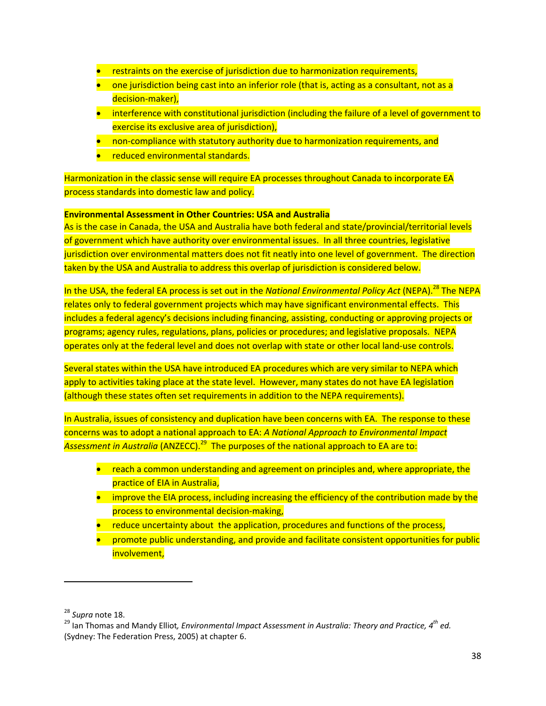- restraints on the exercise of jurisdiction due to harmonization requirements,
- one jurisdiction being cast into an inferior role (that is, acting as a consultant, not as a decision‐maker),
- interference with constitutional jurisdiction (including the failure of a level of government to exercise its exclusive area of jurisdiction),
- non-compliance with statutory authority due to harmonization requirements, and
- **•** reduced environmental standards.

Harmonization in the classic sense will require EA processes throughout Canada to incorporate EA process standards into domestic law and policy.

#### **Environmental Assessment in Other Countries: USA and Australia**

As is the case in Canada, the USA and Australia have both federal and state/provincial/territorial levels of government which have authority over environmental issues. In all three countries, legislative jurisdiction over environmental matters does not fit neatly into one level of government. The direction taken by the USA and Australia to address this overlap of jurisdiction is considered below.

In the USA, the federal EA process is set out in the *National Environmental Policy Act* (NEPA).<sup>28</sup> The NEPA relates only to federal government projects which may have significant environmental effects. This includes a federal agency's decisions including financing, assisting, conducting or approving projects or programs; agency rules, regulations, plans, policies or procedures; and legislative proposals. NEPA operates only at the federal level and does not overlap with state or other local land‐use controls.

Several states within the USA have introduced EA procedures which are very similar to NEPA which apply to activities taking place at the state level. However, many states do not have EA legislation (although these states often set requirements in addition to the NEPA requirements).

In Australia, issues of consistency and duplication have been concerns with EA. The response to these concerns was to adopt a national approach to EA: *A National Approach to Environmental Impact* Assessment in Australia (ANZECC).<sup>29</sup> The purposes of the national approach to EA are to:

- **•** reach a common understanding and agreement on principles and, where appropriate, the practice of EIA in Australia,
- **•** improve the EIA process, including increasing the efficiency of the contribution made by the process to environmental decision-making,
- reduce uncertainty about the application, procedures and functions of the process,
- **•** promote public understanding, and provide and facilitate consistent opportunities for public involvement,

<sup>28</sup> *Supra* note 18. <sup>29</sup> Ian Thomas and Mandy Elliot*, Environmental Impact Assessment in Australia: Theory and Practice, 4th ed.* (Sydney: The Federation Press, 2005) at chapter 6.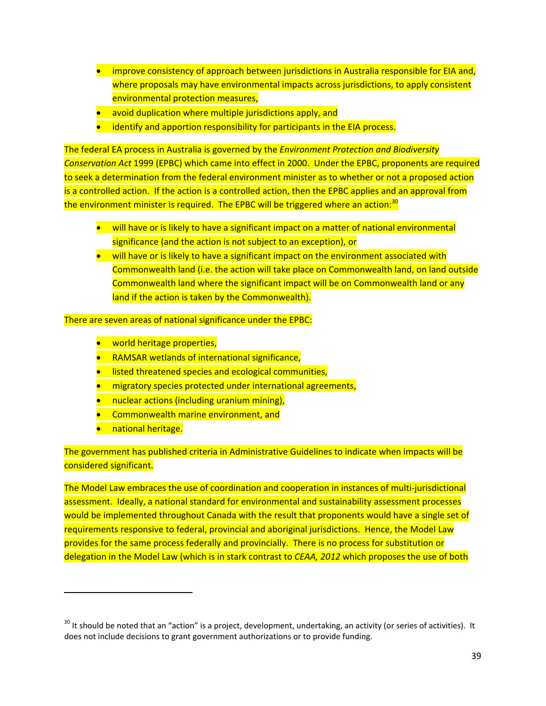- **Improve consistency of approach between jurisdictions in Australia responsible for EIA and,** where proposals may have environmental impacts across jurisdictions, to apply consistent environmental protection measures,
- avoid duplication where multiple jurisdictions apply, and
- identify and apportion responsibility for participants in the EIA process.

The federal EA process in Australia is governed by the *Environment Protection and Biodiversity Conservation Act* 1999 (EPBC) which came into effect in 2000. Under the EPBC, proponents are required to seek a determination from the federal environment minister as to whether or not a proposed action is a controlled action. If the action is a controlled action, then the EPBC applies and an approval from the environment minister is required. The EPBC will be triggered where an action:<sup>30</sup>

- will have or is likely to have a significant impact on a matter of national environmental significance (and the action is not subject to an exception), or
- will have or is likely to have a significant impact on the environment associated with Commonwealth land (i.e. the action will take place on Commonwealth land, on land outside Commonwealth land where the significant impact will be on Commonwealth land or any land if the action is taken by the Commonwealth).

There are seven areas of national significance under the EPBC:

- **•** world heritage properties,
- RAMSAR wetlands of international significance,
- **I** listed threatened species and ecological communities,
- migratory species protected under international agreements,
- **•** nuclear actions (including uranium mining),
- **•** Commonwealth marine environment, and
- **•** national heritage.

The government has published criteria in Administrative Guidelines to indicate when impacts will be considered significant.

The Model Law embraces the use of coordination and cooperation in instances of multi-jurisdictional assessment. Ideally, a national standard for environmental and sustainability assessment processes would be implemented throughout Canada with the result that proponents would have a single set of requirements responsive to federal, provincial and aboriginal jurisdictions. Hence, the Model Law provides for the same process federally and provincially. There is no process for substitution or delegation in the Model Law (which is in stark contrast to *CEAA, 2012* which proposes the use of both

<sup>&</sup>lt;sup>30</sup> It should be noted that an "action" is a project, development, undertaking, an activity (or series of activities). It does not include decisions to grant government authorizations or to provide funding.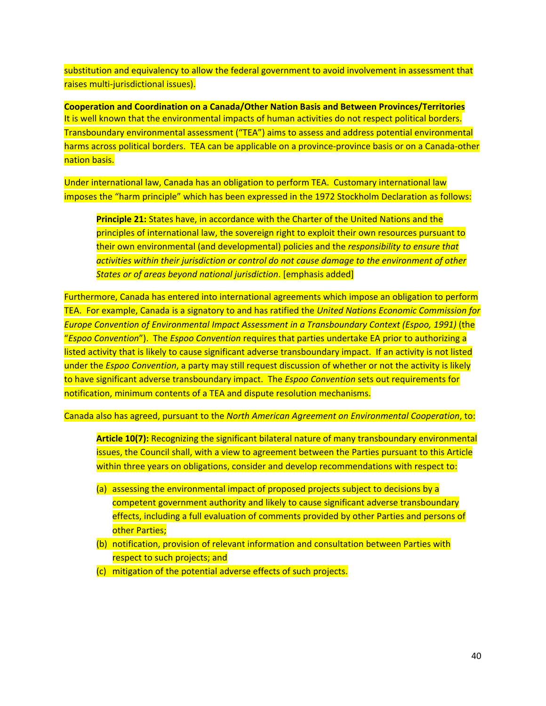substitution and equivalency to allow the federal government to avoid involvement in assessment that raises multi‐jurisdictional issues).

**Cooperation and Coordination on a Canada/Other Nation Basis and Between Provinces/Territories**  It is well known that the environmental impacts of human activities do not respect political borders. Transboundary environmental assessment ("TEA") aims to assess and address potential environmental harms across political borders. TEA can be applicable on a province-province basis or on a Canada-other nation basis.

Under international law, Canada has an obligation to perform TEA. Customary international law imposes the "harm principle" which has been expressed in the 1972 Stockholm Declaration as follows:

**Principle 21:** States have, in accordance with the Charter of the United Nations and the principles of international law, the sovereign right to exploit their own resources pursuant to their own environmental (and developmental) policies and the *responsibility to ensure that activities within their jurisdiction or control do not cause damage to the environment of other States or of areas beyond national jurisdiction*. [emphasis added]

Furthermore, Canada has entered into international agreements which impose an obligation to perform TEA. For example, Canada is a signatory to and has ratified the *United Nations Economic Commission for Europe Convention of Environmental Impact Assessment in a Transboundary Context (Espoo, 1991)* (the "*Espoo Convention*"). The *Espoo Convention* requires that parties undertake EA prior to authorizing a listed activity that is likely to cause significant adverse transboundary impact. If an activity is not listed under the *Espoo Convention*, a party may still request discussion of whether or not the activity is likely to have significant adverse transboundary impact. The *Espoo Convention* sets out requirements for notification, minimum contents of a TEA and dispute resolution mechanisms.

Canada also has agreed, pursuant to the *North American Agreement on Environmental Cooperation*, to:

**Article 10(7):** Recognizing the significant bilateral nature of many transboundary environmental issues, the Council shall, with a view to agreement between the Parties pursuant to this Article within three years on obligations, consider and develop recommendations with respect to:

- (a) assessing the environmental impact of proposed projects subject to decisions by a competent government authority and likely to cause significant adverse transboundary effects, including a full evaluation of comments provided by other Parties and persons of other Parties;
- (b) notification, provision of relevant information and consultation between Parties with respect to such projects; and
- (c) mitigation of the potential adverse effects of such projects.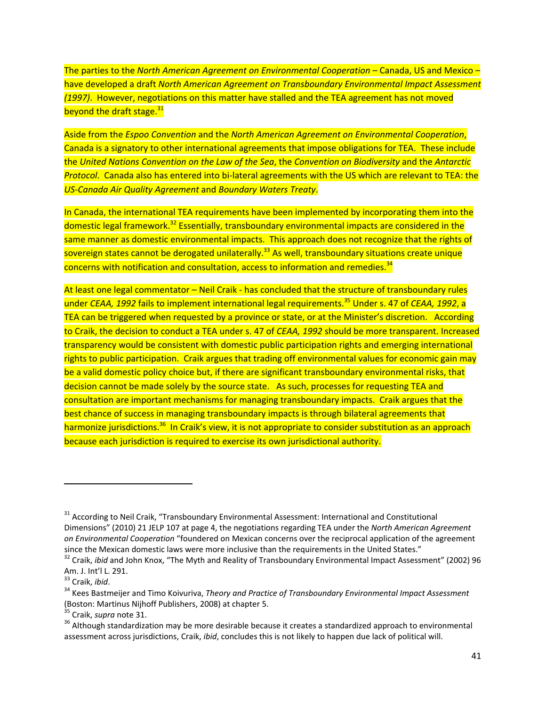The parties to the *North American Agreement on Environmental Cooperation* – Canada, US and Mexico – have developed a draft *North American Agreement on Transboundary Environmental Impact Assessment (1997)*. However, negotiations on this matter have stalled and the TEA agreement has not moved beyond the draft stage.<sup>31</sup>

Aside from the *Espoo Convention* and the *North American Agreement on Environmental Cooperation*, Canada is a signatory to other international agreements that impose obligations for TEA. These include the *United Nations Convention on the Law of the Sea*, the *Convention on Biodiversity* and the *Antarctic* **Protocol.** Canada also has entered into bi-lateral agreements with the US which are relevant to TEA: the *US‐Canada Air Quality Agreement* and *Boundary Waters Treaty*.

In Canada, the international TEA requirements have been implemented by incorporating them into the domestic legal framework.<sup>32</sup> Essentially, transboundary environmental impacts are considered in the same manner as domestic environmental impacts. This approach does not recognize that the rights of sovereign states cannot be derogated unilaterally.<sup>33</sup> As well, transboundary situations create unique concerns with notification and consultation, access to information and remedies. $34$ 

At least one legal commentator – Neil Craik ‐ has concluded that the structure of transboundary rules under *CEAA, 1992* fails to implement international legal requirements.<sup>35</sup> Under s. 47 of *CEAA, 1992*, a TEA can be triggered when requested by a province or state, or at the Minister's discretion. According to Craik, the decision to conduct a TEA under s. 47 of *CEAA, 1992* should be more transparent. Increased transparency would be consistent with domestic public participation rights and emerging international rights to public participation. Craik argues that trading off environmental values for economic gain may be a valid domestic policy choice but, if there are significant transboundary environmental risks, that decision cannot be made solely by the source state. As such, processes for requesting TEA and consultation are important mechanisms for managing transboundary impacts. Craik argues that the best chance of success in managing transboundary impacts is through bilateral agreements that harmonize jurisdictions.<sup>36</sup> In Craik's view, it is not appropriate to consider substitution as an approach because each jurisdiction is required to exercise its own jurisdictional authority.

<sup>&</sup>lt;sup>31</sup> According to Neil Craik, "Transboundary Environmental Assessment: International and Constitutional Dimensions" (2010) 21 JELP 107 at page 4, the negotiations regarding TEA under the *North American Agreement on Environmental Cooperation* "foundered on Mexican concerns over the reciprocal application of the agreement since the Mexican domestic laws were more inclusive than the requirements in the United States."<br><sup>32</sup> Craik, *ibid* and John Knox, "The Myth and Reality of Transboundary Environmental Impact Assessment" (2002) 96

Am. J. Int'l L. 291.<br><sup>33</sup> Craik, *ibid.*<br><sup>34</sup> Kees Bastmeijer and Timo Koivuriva, *Theory and Practice of Transboundary Environmental Impact Assessment* 

<sup>(</sup>Boston: Martinus Nijhoff Publishers, 2008) at chapter 5.<br><sup>35</sup> Craik, *supra* note 31.<br><sup>36</sup> Although standardization may be more desirable because it creates a standardized approach to environmental

assessment across jurisdictions, Craik, *ibid*, concludes this is not likely to happen due lack of political will.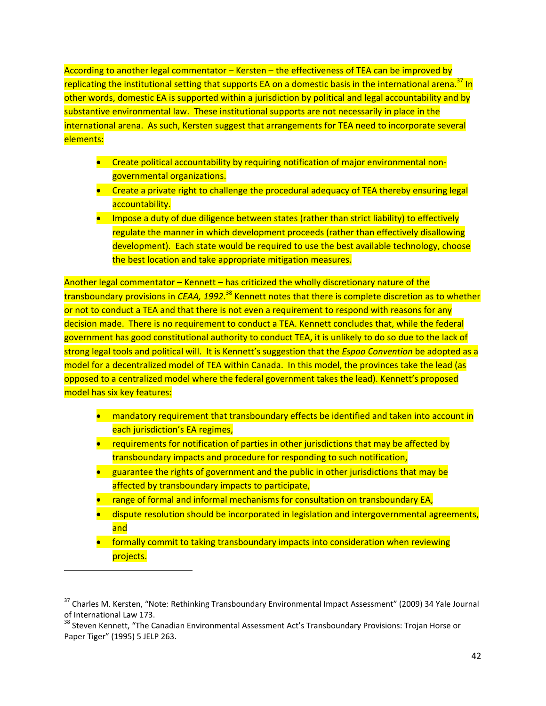According to another legal commentator – Kersten – the effectiveness of TEA can be improved by replicating the institutional setting that supports EA on a domestic basis in the international arena.<sup>37</sup> In other words, domestic EA is supported within a jurisdiction by political and legal accountability and by substantive environmental law. These institutional supports are not necessarily in place in the international arena. As such, Kersten suggest that arrangements for TEA need to incorporate several elements:

- Create political accountability by requiring notification of major environmental nongovernmental organizations.
- Create a private right to challenge the procedural adequacy of TEA thereby ensuring legal accountability.
- Impose a duty of due diligence between states (rather than strict liability) to effectively regulate the manner in which development proceeds (rather than effectively disallowing development). Each state would be required to use the best available technology, choose the best location and take appropriate mitigation measures.

Another legal commentator - Kennett - has criticized the wholly discretionary nature of the transboundary provisions in *CEAA, 1992*.<sup>38</sup> Kennett notes that there is complete discretion as to whether or not to conduct a TEA and that there is not even a requirement to respond with reasons for any decision made. There is no requirement to conduct a TEA. Kennett concludes that, while the federal government has good constitutional authority to conduct TEA, it is unlikely to do so due to the lack of strong legal tools and political will. It is Kennett's suggestion that the *Espoo Convention* be adopted as a model for a decentralized model of TEA within Canada. In this model, the provinces take the lead (as opposed to a centralized model where the federal government takes the lead). Kennett's proposed model has six key features:

- mandatory requirement that transboundary effects be identified and taken into account in each jurisdiction's EA regimes,
- requirements for notification of parties in other jurisdictions that may be affected by transboundary impacts and procedure for responding to such notification,
- guarantee the rights of government and the public in other jurisdictions that may be affected by transboundary impacts to participate,
- range of formal and informal mechanisms for consultation on transboundary EA,
- dispute resolution should be incorporated in legislation and intergovernmental agreements, and
- **•** formally commit to taking transboundary impacts into consideration when reviewing projects.

<sup>&</sup>lt;sup>37</sup> Charles M. Kersten, "Note: Rethinking Transboundary Environmental Impact Assessment" (2009) 34 Yale Journal of International Law 173.<br><sup>38</sup> Steven Kennett, "The Canadian Environmental Assessment Act's Transboundary Provisions: Trojan Horse or

Paper Tiger" (1995) 5 JELP 263.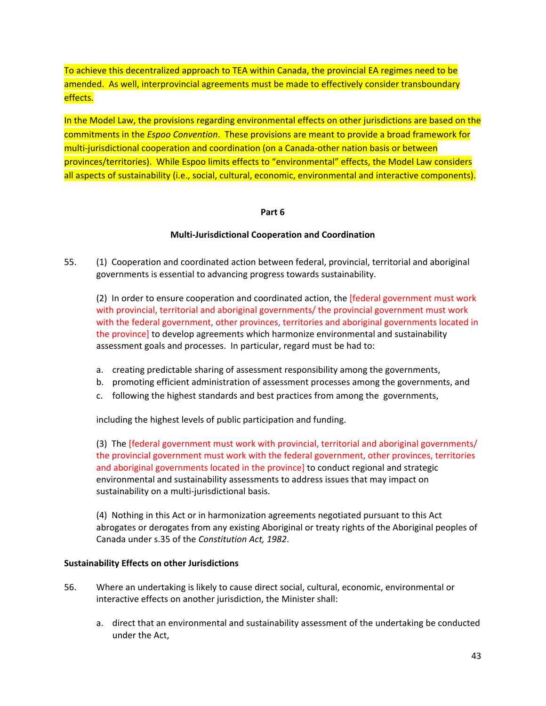To achieve this decentralized approach to TEA within Canada, the provincial EA regimes need to be amended. As well, interprovincial agreements must be made to effectively consider transboundary effects.

In the Model Law, the provisions regarding environmental effects on other jurisdictions are based on the commitments in the *Espoo Convention*. These provisions are meant to provide a broad framework for multi‐jurisdictional cooperation and coordination (on a Canada‐other nation basis or between provinces/territories). While Espoo limits effects to "environmental" effects, the Model Law considers all aspects of sustainability (i.e., social, cultural, economic, environmental and interactive components).

#### **Part 6**

## **Multi‐Jurisdictional Cooperation and Coordination**

55. (1) Cooperation and coordinated action between federal, provincial, territorial and aboriginal governments is essential to advancing progress towards sustainability.

(2) In order to ensure cooperation and coordinated action, the [federal government must work with provincial, territorial and aboriginal governments/ the provincial government must work with the federal government, other provinces, territories and aboriginal governments located in the province] to develop agreements which harmonize environmental and sustainability assessment goals and processes. In particular, regard must be had to:

- a. creating predictable sharing of assessment responsibility among the governments,
- b. promoting efficient administration of assessment processes among the governments, and
- c. following the highest standards and best practices from among the governments,

including the highest levels of public participation and funding.

(3) The [federal government must work with provincial, territorial and aboriginal governments/ the provincial government must work with the federal government, other provinces, territories and aboriginal governments located in the province] to conduct regional and strategic environmental and sustainability assessments to address issues that may impact on sustainability on a multi‐jurisdictional basis.

(4) Nothing in this Act or in harmonization agreements negotiated pursuant to this Act abrogates or derogates from any existing Aboriginal or treaty rights of the Aboriginal peoples of Canada under s.35 of the *Constitution Act, 1982*.

#### **Sustainability Effects on other Jurisdictions**

- 56. Where an undertaking is likely to cause direct social, cultural, economic, environmental or interactive effects on another jurisdiction, the Minister shall:
	- a. direct that an environmental and sustainability assessment of the undertaking be conducted under the Act,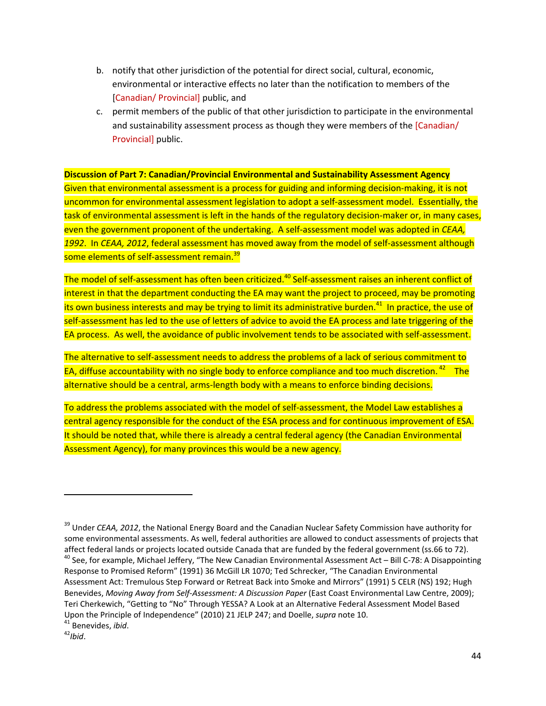- b. notify that other jurisdiction of the potential for direct social, cultural, economic, environmental or interactive effects no later than the notification to members of the [Canadian/ Provincial] public, and
- c. permit members of the public of that other jurisdiction to participate in the environmental and sustainability assessment process as though they were members of the [Canadian/ Provincial] public.

**Discussion of Part 7: Canadian/Provincial Environmental and Sustainability Assessment Agency**

Given that environmental assessment is a process for guiding and informing decision-making, it is not uncommon for environmental assessment legislation to adopt a self‐assessment model. Essentially, the task of environmental assessment is left in the hands of the regulatory decision-maker or, in many cases, even the government proponent of the undertaking. A self‐assessment model was adopted in *CEAA, 1992*. In *CEAA, 2012*, federal assessment has moved away from the model of self‐assessment although some elements of self-assessment remain.<sup>39</sup>

The model of self-assessment has often been criticized.<sup>40</sup> Self-assessment raises an inherent conflict of interest in that the department conducting the EA may want the project to proceed, may be promoting its own business interests and may be trying to limit its administrative burden.<sup>41</sup> In practice, the use of self-assessment has led to the use of letters of advice to avoid the EA process and late triggering of the EA process. As well, the avoidance of public involvement tends to be associated with self‐assessment.

The alternative to self-assessment needs to address the problems of a lack of serious commitment to EA, diffuse accountability with no single body to enforce compliance and too much discretion.<sup>42</sup> The alternative should be a central, arms‐length body with a means to enforce binding decisions.

To address the problems associated with the model of self-assessment, the Model Law establishes a central agency responsible for the conduct of the ESA process and for continuous improvement of ESA. It should be noted that, while there is already a central federal agency (the Canadian Environmental Assessment Agency), for many provinces this would be a new agency.

<sup>39</sup> Under *CEAA, 2012*, the National Energy Board and the Canadian Nuclear Safety Commission have authority for some environmental assessments. As well, federal authorities are allowed to conduct assessments of projects that affect federal lands or projects located outside Canada that are funded by the federal government (ss.66 to 72).<br><sup>40</sup> See, for example, Michael Jeffery, "The New Canadian Environmental Assessment Act – Bill C-78: A Disapp

Response to Promised Reform" (1991) 36 McGill LR 1070; Ted Schrecker, "The Canadian Environmental Assessment Act: Tremulous Step Forward or Retreat Back into Smoke and Mirrors" (1991) 5 CELR (NS) 192; Hugh Benevides, *Moving Away from Self‐Assessment: A Discussion Paper* (East Coast Environmental Law Centre, 2009); Teri Cherkewich, "Getting to "No" Through YESSA? A Look at an Alternative Federal Assessment Model Based Upon the Principle of Independence" (2010) 21 JELP 247; and Doelle, *supra* note 10.<br><sup>41</sup> Benevides, *ibid*.<br><sup>42</sup>*Ibid.*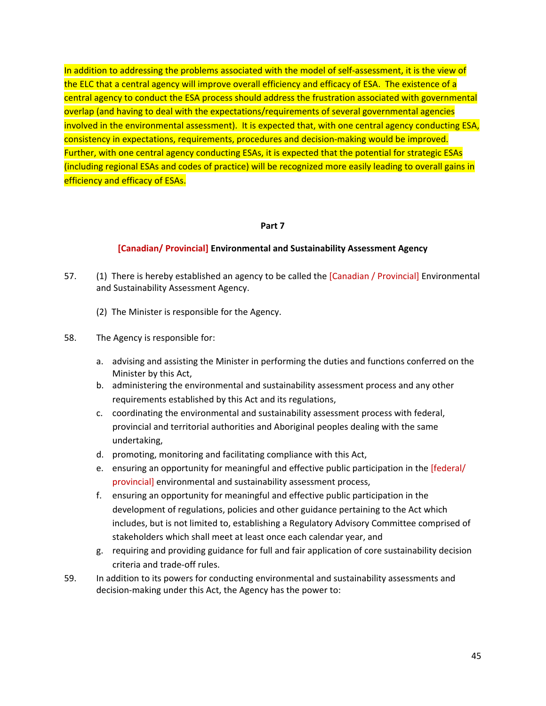In addition to addressing the problems associated with the model of self-assessment, it is the view of the ELC that a central agency will improve overall efficiency and efficacy of ESA. The existence of a central agency to conduct the ESA process should address the frustration associated with governmental overlap (and having to deal with the expectations/requirements of several governmental agencies involved in the environmental assessment). It is expected that, with one central agency conducting ESA, consistency in expectations, requirements, procedures and decision-making would be improved. Further, with one central agency conducting ESAs, it is expected that the potential for strategic ESAs (including regional ESAs and codes of practice) will be recognized more easily leading to overall gains in efficiency and efficacy of ESAs.

#### **Part 7**

#### **[Canadian/ Provincial] Environmental and Sustainability Assessment Agency**

- 57. (1) There is hereby established an agency to be called the [Canadian / Provincial] Environmental and Sustainability Assessment Agency.
	- (2) The Minister is responsible for the Agency.
- 58. The Agency is responsible for:
	- a. advising and assisting the Minister in performing the duties and functions conferred on the Minister by this Act,
	- b. administering the environmental and sustainability assessment process and any other requirements established by this Act and its regulations,
	- c. coordinating the environmental and sustainability assessment process with federal, provincial and territorial authorities and Aboriginal peoples dealing with the same undertaking,
	- d. promoting, monitoring and facilitating compliance with this Act,
	- e. ensuring an opportunity for meaningful and effective public participation in the [federal/ provincial] environmental and sustainability assessment process,
	- f. ensuring an opportunity for meaningful and effective public participation in the development of regulations, policies and other guidance pertaining to the Act which includes, but is not limited to, establishing a Regulatory Advisory Committee comprised of stakeholders which shall meet at least once each calendar year, and
	- g. requiring and providing guidance for full and fair application of core sustainability decision criteria and trade‐off rules.
- 59. In addition to its powers for conducting environmental and sustainability assessments and decision‐making under this Act, the Agency has the power to: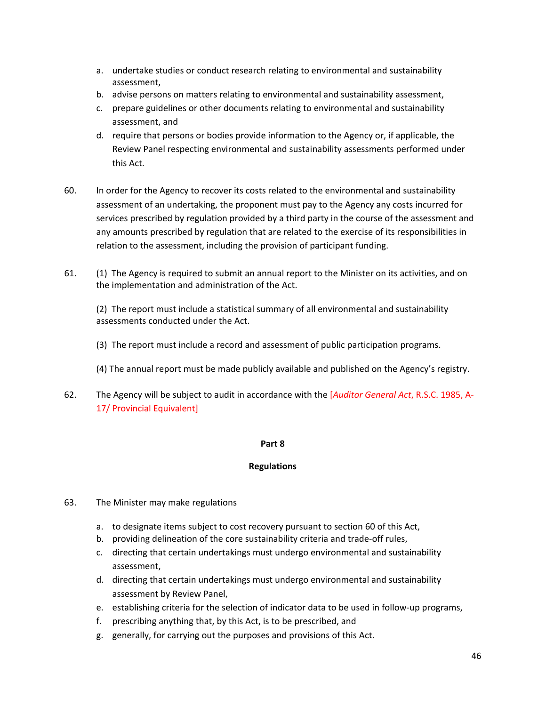- a. undertake studies or conduct research relating to environmental and sustainability assessment,
- b. advise persons on matters relating to environmental and sustainability assessment,
- c. prepare guidelines or other documents relating to environmental and sustainability assessment, and
- d. require that persons or bodies provide information to the Agency or, if applicable, the Review Panel respecting environmental and sustainability assessments performed under this Act.
- 60. In order for the Agency to recover its costs related to the environmental and sustainability assessment of an undertaking, the proponent must pay to the Agency any costs incurred for services prescribed by regulation provided by a third party in the course of the assessment and any amounts prescribed by regulation that are related to the exercise of its responsibilities in relation to the assessment, including the provision of participant funding.
- 61. (1) The Agency is required to submit an annual report to the Minister on its activities, and on the implementation and administration of the Act.

(2) The report must include a statistical summary of all environmental and sustainability assessments conducted under the Act.

- (3) The report must include a record and assessment of public participation programs.
- (4) The annual report must be made publicly available and published on the Agency's registry.
- 62. The Agency will be subject to audit in accordance with the [*Auditor General Act*, R.S.C. 1985, A‐ 17/ Provincial Equivalent]

#### **Part 8**

## **Regulations**

- 63. The Minister may make regulations
	- a. to designate items subject to cost recovery pursuant to section 60 of this Act,
	- b. providing delineation of the core sustainability criteria and trade‐off rules,
	- c. directing that certain undertakings must undergo environmental and sustainability assessment,
	- d. directing that certain undertakings must undergo environmental and sustainability assessment by Review Panel,
	- e. establishing criteria for the selection of indicator data to be used in follow‐up programs,
	- f. prescribing anything that, by this Act, is to be prescribed, and
	- g. generally, for carrying out the purposes and provisions of this Act.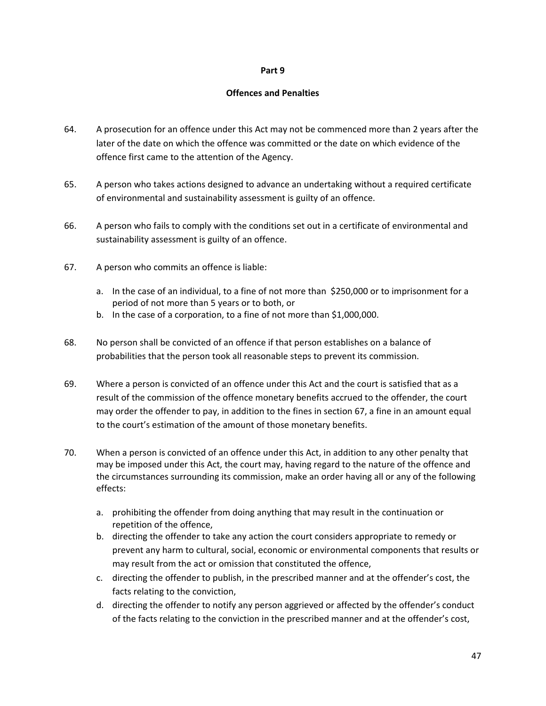#### **Part 9**

#### **Offences and Penalties**

- 64. A prosecution for an offence under this Act may not be commenced more than 2 years after the later of the date on which the offence was committed or the date on which evidence of the offence first came to the attention of the Agency.
- 65. A person who takes actions designed to advance an undertaking without a required certificate of environmental and sustainability assessment is guilty of an offence.
- 66. A person who fails to comply with the conditions set out in a certificate of environmental and sustainability assessment is guilty of an offence.
- 67. A person who commits an offence is liable:
	- a. In the case of an individual, to a fine of not more than \$250,000 or to imprisonment for a period of not more than 5 years or to both, or
	- b. In the case of a corporation, to a fine of not more than \$1,000,000.
- 68. No person shall be convicted of an offence if that person establishes on a balance of probabilities that the person took all reasonable steps to prevent its commission.
- 69. Where a person is convicted of an offence under this Act and the court is satisfied that as a result of the commission of the offence monetary benefits accrued to the offender, the court may order the offender to pay, in addition to the fines in section 67, a fine in an amount equal to the court's estimation of the amount of those monetary benefits.
- 70. When a person is convicted of an offence under this Act, in addition to any other penalty that may be imposed under this Act, the court may, having regard to the nature of the offence and the circumstances surrounding its commission, make an order having all or any of the following effects:
	- a. prohibiting the offender from doing anything that may result in the continuation or repetition of the offence,
	- b. directing the offender to take any action the court considers appropriate to remedy or prevent any harm to cultural, social, economic or environmental components that results or may result from the act or omission that constituted the offence,
	- c. directing the offender to publish, in the prescribed manner and at the offender's cost, the facts relating to the conviction,
	- d. directing the offender to notify any person aggrieved or affected by the offender's conduct of the facts relating to the conviction in the prescribed manner and at the offender's cost,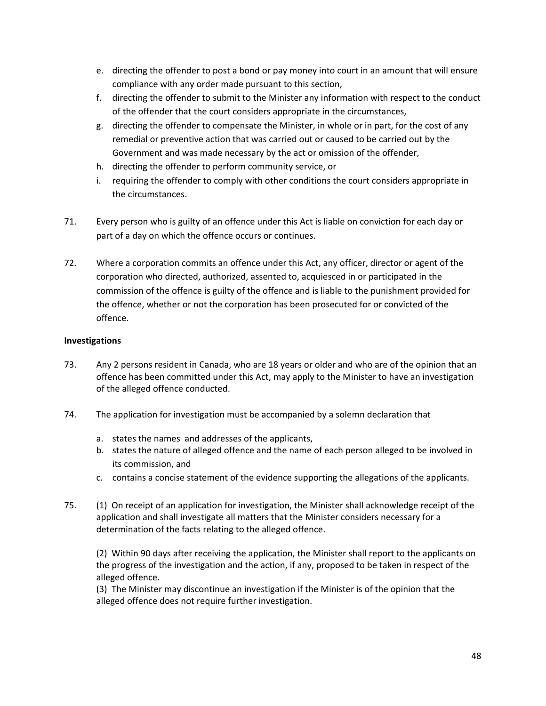- e. directing the offender to post a bond or pay money into court in an amount that will ensure compliance with any order made pursuant to this section,
- f. directing the offender to submit to the Minister any information with respect to the conduct of the offender that the court considers appropriate in the circumstances,
- g. directing the offender to compensate the Minister, in whole or in part, for the cost of any remedial or preventive action that was carried out or caused to be carried out by the Government and was made necessary by the act or omission of the offender,
- h. directing the offender to perform community service, or
- i. requiring the offender to comply with other conditions the court considers appropriate in the circumstances.
- 71. Every person who is guilty of an offence under this Act is liable on conviction for each day or part of a day on which the offence occurs or continues.
- 72. Where a corporation commits an offence under this Act, any officer, director or agent of the corporation who directed, authorized, assented to, acquiesced in or participated in the commission of the offence is guilty of the offence and is liable to the punishment provided for the offence, whether or not the corporation has been prosecuted for or convicted of the offence.

## **Investigations**

- 73. Any 2 persons resident in Canada, who are 18 years or older and who are of the opinion that an offence has been committed under this Act, may apply to the Minister to have an investigation of the alleged offence conducted.
- 74. The application for investigation must be accompanied by a solemn declaration that
	- a. states the names and addresses of the applicants,
	- b. states the nature of alleged offence and the name of each person alleged to be involved in its commission, and
	- c. contains a concise statement of the evidence supporting the allegations of the applicants.
- 75. (1) On receipt of an application for investigation, the Minister shall acknowledge receipt of the application and shall investigate all matters that the Minister considers necessary for a determination of the facts relating to the alleged offence.

(2) Within 90 days after receiving the application, the Minister shall report to the applicants on the progress of the investigation and the action, if any, proposed to be taken in respect of the alleged offence.

(3) The Minister may discontinue an investigation if the Minister is of the opinion that the alleged offence does not require further investigation.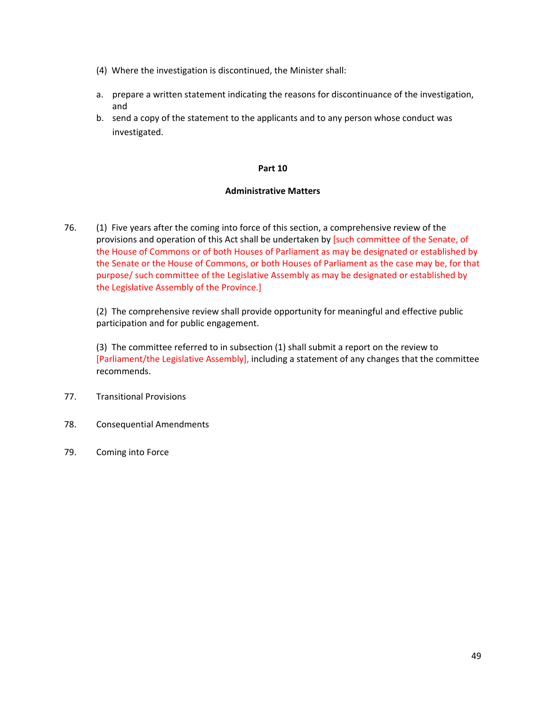- (4) Where the investigation is discontinued, the Minister shall:
- a. prepare a written statement indicating the reasons for discontinuance of the investigation, and
- b. send a copy of the statement to the applicants and to any person whose conduct was investigated.

#### **Part 10**

#### **Administrative Matters**

76. (1) Five years after the coming into force of this section, a comprehensive review of the provisions and operation of this Act shall be undertaken by [such committee of the Senate, of the House of Commons or of both Houses of Parliament as may be designated or established by the Senate or the House of Commons, or both Houses of Parliament as the case may be, for that purpose/ such committee of the Legislative Assembly as may be designated or established by the Legislative Assembly of the Province.]

(2) The comprehensive review shall provide opportunity for meaningful and effective public participation and for public engagement.

(3) The committee referred to in subsection (1) shall submit a report on the review to [Parliament/the Legislative Assembly], including a statement of any changes that the committee recommends.

- 77. Transitional Provisions
- 78. Consequential Amendments
- 79. Coming into Force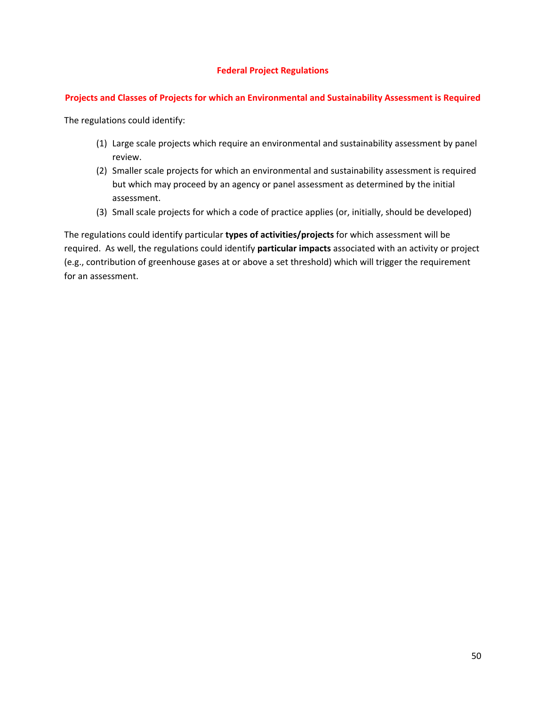## **Federal Project Regulations**

## **Projects and Classes of Projects for which an Environmental and Sustainability Assessment is Required**

The regulations could identify:

- (1) Large scale projects which require an environmental and sustainability assessment by panel review.
- (2) Smaller scale projects for which an environmental and sustainability assessment is required but which may proceed by an agency or panel assessment as determined by the initial assessment.
- (3) Small scale projects for which a code of practice applies (or, initially, should be developed)

The regulations could identify particular **types of activities/projects** for which assessment will be required. As well, the regulations could identify **particular impacts** associated with an activity or project (e.g., contribution of greenhouse gases at or above a set threshold) which will trigger the requirement for an assessment.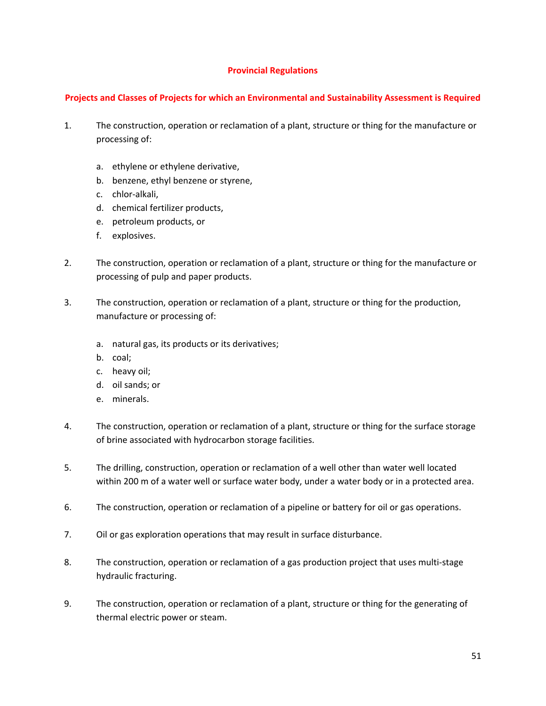## **Provincial Regulations**

## **Projects and Classes of Projects for which an Environmental and Sustainability Assessment is Required**

- 1. The construction, operation or reclamation of a plant, structure or thing for the manufacture or processing of:
	- a. ethylene or ethylene derivative,
	- b. benzene, ethyl benzene or styrene,
	- c. chlor‐alkali,
	- d. chemical fertilizer products,
	- e. petroleum products, or
	- f. explosives.
- 2. The construction, operation or reclamation of a plant, structure or thing for the manufacture or processing of pulp and paper products.
- 3. The construction, operation or reclamation of a plant, structure or thing for the production, manufacture or processing of:
	- a. natural gas, its products or its derivatives;
	- b. coal;
	- c. heavy oil;
	- d. oil sands; or
	- e. minerals.
- 4. The construction, operation or reclamation of a plant, structure or thing for the surface storage of brine associated with hydrocarbon storage facilities.
- 5. The drilling, construction, operation or reclamation of a well other than water well located within 200 m of a water well or surface water body, under a water body or in a protected area.
- 6. The construction, operation or reclamation of a pipeline or battery for oil or gas operations.
- 7. Oil or gas exploration operations that may result in surface disturbance.
- 8. The construction, operation or reclamation of a gas production project that uses multi‐stage hydraulic fracturing.
- 9. The construction, operation or reclamation of a plant, structure or thing for the generating of thermal electric power or steam.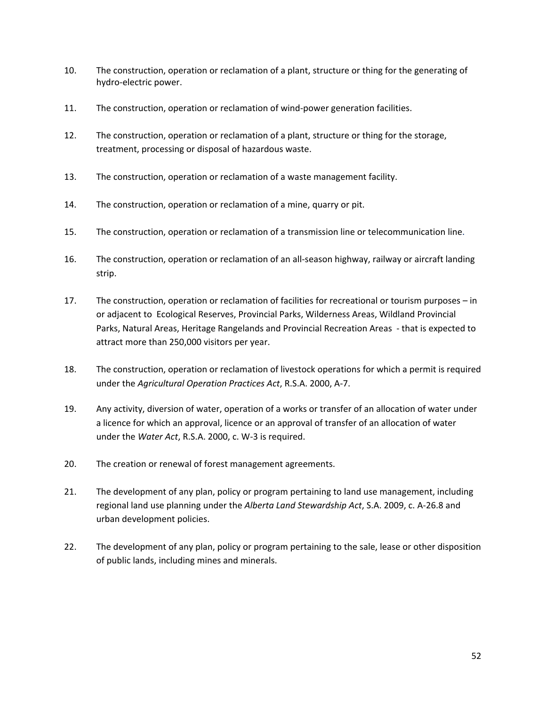- 10. The construction, operation or reclamation of a plant, structure or thing for the generating of hydro‐electric power.
- 11. The construction, operation or reclamation of wind‐power generation facilities.
- 12. The construction, operation or reclamation of a plant, structure or thing for the storage, treatment, processing or disposal of hazardous waste.
- 13. The construction, operation or reclamation of a waste management facility.
- 14. The construction, operation or reclamation of a mine, quarry or pit.
- 15. The construction, operation or reclamation of a transmission line or telecommunication line.
- 16. The construction, operation or reclamation of an all-season highway, railway or aircraft landing strip.
- 17. The construction, operation or reclamation of facilities for recreational or tourism purposes in or adjacent to Ecological Reserves, Provincial Parks, Wilderness Areas, Wildland Provincial Parks, Natural Areas, Heritage Rangelands and Provincial Recreation Areas ‐ that is expected to attract more than 250,000 visitors per year.
- 18. The construction, operation or reclamation of livestock operations for which a permit is required under the *Agricultural Operation Practices Act*, R.S.A. 2000, A‐7.
- 19. Any activity, diversion of water, operation of a works or transfer of an allocation of water under a licence for which an approval, licence or an approval of transfer of an allocation of water under the *Water Act*, R.S.A. 2000, c. W‐3 is required.
- 20. The creation or renewal of forest management agreements.
- 21. The development of any plan, policy or program pertaining to land use management, including regional land use planning under the *Alberta Land Stewardship Act*, S.A. 2009, c. A‐26.8 and urban development policies.
- 22. The development of any plan, policy or program pertaining to the sale, lease or other disposition of public lands, including mines and minerals.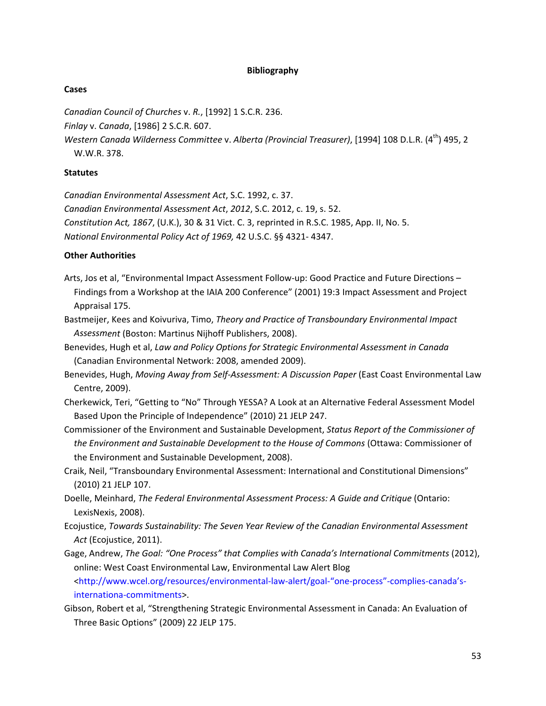#### **Bibliography**

#### **Cases**

*Canadian Council of Churches* v. *R.*, [1992] 1 S.C.R. 236.

*Finlay* v. *Canada*, [1986] 2 S.C.R. 607.

*Western Canada Wilderness Committee* v. *Alberta (Provincial Treasurer)*, [1994] 108 D.L.R. (4th) 495, 2 W.W.R. 378.

#### **Statutes**

*Canadian Environmental Assessment Act*, S.C. 1992, c. 37.

*Canadian Environmental Assessment Act*, *2012*, S.C. 2012, c. 19, s. 52.

*Constitution Act, 1867*, (U.K.), 30 & 31 Vict. C. 3, reprinted in R.S.C. 1985, App. II, No. 5.

*National Environmental Policy Act of 1969,* 42 U.S.C. §§ 4321‐ 4347.

## **Other Authorities**

- Arts, Jos et al, "Environmental Impact Assessment Follow‐up: Good Practice and Future Directions Findings from a Workshop at the IAIA 200 Conference" (2001) 19:3 Impact Assessment and Project Appraisal 175.
- Bastmeijer, Kees and Koivuriva, Timo, *Theory and Practice of Transboundary Environmental Impact Assessment* (Boston: Martinus Nijhoff Publishers, 2008).
- Benevides, Hugh et al, *Law and Policy Options for Strategic Environmental Assessment in Canada* (Canadian Environmental Network: 2008, amended 2009).
- Benevides, Hugh, *Moving Away from Self‐Assessment: A Discussion Paper* (East Coast Environmental Law Centre, 2009).
- Cherkewick, Teri, "Getting to "No" Through YESSA? A Look at an Alternative Federal Assessment Model Based Upon the Principle of Independence" (2010) 21 JELP 247.
- Commissioner of the Environment and Sustainable Development, *Status Report of the Commissioner of the Environment and Sustainable Development to the House of Commons* (Ottawa: Commissioner of the Environment and Sustainable Development, 2008).
- Craik, Neil, "Transboundary Environmental Assessment: International and Constitutional Dimensions" (2010) 21 JELP 107.
- Doelle, Meinhard, *The Federal Environmental Assessment Process: A Guide and Critique* (Ontario: LexisNexis, 2008).
- Ecojustice, *Towards Sustainability: The Seven Year Review of the Canadian Environmental Assessment Act* (Ecojustice, 2011).
- Gage, Andrew, *The Goal: "One Process" that Complies with Canada's International Commitments* (2012), online: West Coast Environmental Law, Environmental Law Alert Blog

[<http://www.wcel.org/resources/environmental](http://www.wcel.org/resources/environmental%E2%80%90law%E2%80%90alert/goal%E2%80%90%E2%80%9Cone%E2%80%90process%E2%80%9D%E2%80%90complies%E2%80%90canada%E2%80%99s%E2%80%90internationa%E2%80%90commitments)‐law‐alert/goal‐"one‐process"‐complies‐canada's‐ internationa‐[commitments>.](http://www.wcel.org/resources/environmental%E2%80%90law%E2%80%90alert/goal%E2%80%90%E2%80%9Cone%E2%80%90process%E2%80%9D%E2%80%90complies%E2%80%90canada%E2%80%99s%E2%80%90internationa%E2%80%90commitments)

Gibson, Robert et al, "Strengthening Strategic Environmental Assessment in Canada: An Evaluation of Three Basic Options" (2009) 22 JELP 175.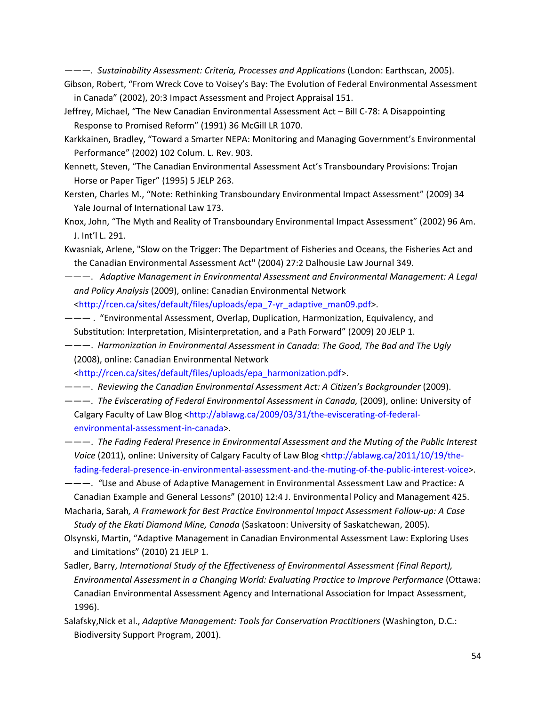———*. Sustainability Assessment: Criteria, Processes and Applications* (London: Earthscan, 2005).

- Gibson, Robert, "From Wreck Cove to Voisey's Bay: The Evolution of Federal Environmental Assessment in Canada" (2002), 20:3 Impact Assessment and Project Appraisal 151.
- Jeffrey, Michael, "The New Canadian Environmental Assessment Act Bill C-78: A Disappointing Response to Promised Reform" (1991) 36 McGill LR 1070.
- Karkkainen, Bradley, "Toward a Smarter NEPA: Monitoring and Managing Government's Environmental Performance" (2002) 102 Colum. L. Rev. 903.
- Kennett, Steven, "The Canadian Environmental Assessment Act's Transboundary Provisions: Trojan Horse or Paper Tiger" (1995) 5 JELP 263.
- Kersten, Charles M., "Note: Rethinking Transboundary Environmental Impact Assessment" (2009) 34 Yale Journal of International Law 173.
- Knox, John, "The Myth and Reality of Transboundary Environmental Impact Assessment" (2002) 96 Am. J. Int'l L. 291.
- Kwasniak, Arlene, "Slow on the Trigger: The Department of Fisheries and Oceans, the Fisheries Act and the Canadian Environmental Assessment Act" (2004) 27:2 Dalhousie Law Journal 349.
- ———. *Adaptive Management in Environmental Assessment and Environmental Management: A Legal and Policy Analysis* (2009), online: Canadian Environmental Network

[<http://rcen.ca/sites/default/files/uploads/epa\\_7](http://rcen.ca/sites/default/files/uploads/epa_7%E2%80%90yr_adaptive_man09.pdf)‐yr\_adaptive\_man09.pdf>.

- ——— . "Environmental Assessment, Overlap, Duplication, Harmonization, Equivalency, and Substitution: Interpretation, Misinterpretation, and a Path Forward" (2009) 20 JELP 1.
- ———. *Harmonization in Environmental Assessment in Canada: The Good, The Bad and The Ugly* (2008), online: Canadian Environmental Network
- [<http://rcen.ca/sites/default/files/uploads/epa\\_harmonization.pdf>.](http://rcen.ca/sites/default/files/uploads/epa_harmonization.pdf)
- ———. *Reviewing the Canadian Environmental Assessment Act: A Citizen's Backgrounder* (2009).
- ———. *The Eviscerating of Federal Environmental Assessment in Canada,* (2009), online: University of Calgary Faculty of Law Blog [<http://ablawg.ca/2009/03/31/the](http://ablawg.ca/2009/03/31/the%E2%80%90eviscerating%E2%80%90of%E2%80%90federal%E2%80%90environmental%E2%80%9054assessment%E2%80%90in%E2%80%90canada)‐eviscerating‐of‐federal‐ environmental‐[assessment](http://ablawg.ca/2009/03/31/the%E2%80%90eviscerating%E2%80%90of%E2%80%90federal%E2%80%90environmental%E2%80%9054assessment%E2%80%90in%E2%80%90canada)‐in‐canada>.
- ———. *The Fading Federal Presence in Environmental Assessment and the Muting of the Public Interest* Voice (2011), online: University of Calgary Faculty of Law Blog [<http://ablawg.ca/2011/10/19/the](http://ablawg.ca/2011/10/19/the%E2%80%90fading%E2%80%90federal%E2%80%90presence%E2%80%90in%E2%80%90environmental%E2%80%90assessment%E2%80%90and%E2%80%90the%E2%80%90muting%E2%80%90of%E2%80%90the%E2%80%90public%E2%80%90interest%E2%80%90voice)fading‐federal‐presence‐in‐[environmental](http://ablawg.ca/2011/10/19/the%E2%80%90fading%E2%80%90federal%E2%80%90presence%E2%80%90in%E2%80%90environmental%E2%80%90assessment%E2%80%90and%E2%80%90the%E2%80%90muting%E2%80%90of%E2%80%90the%E2%80%90public%E2%80%90interest%E2%80%90voice)‐assessment‐and‐the‐muting‐of‐the‐public‐interest‐voice>.

———. *"*Use and Abuse of Adaptive Management in Environmental Assessment Law and Practice: A Canadian Example and General Lessons" (2010) 12:4 J. Environmental Policy and Management 425.

Macharia, Sarah*, A Framework for Best Practice Environmental Impact Assessment Follow‐up: A Case Study of the Ekati Diamond Mine, Canada* (Saskatoon: University of Saskatchewan, 2005).

- Olsynski, Martin, "Adaptive Management in Canadian Environmental Assessment Law: Exploring Uses and Limitations" (2010) 21 JELP 1.
- Sadler, Barry, *International Study of the Effectiveness of Environmental Assessment (Final Report), Environmental Assessment in a Changing World: Evaluating Practice to Improve Performance* (Ottawa: Canadian Environmental Assessment Agency and International Association for Impact Assessment, 1996).
- Salafsky,Nick et al., *Adaptive Management: Tools for Conservation Practitioners* (Washington, D.C.: Biodiversity Support Program, 2001).